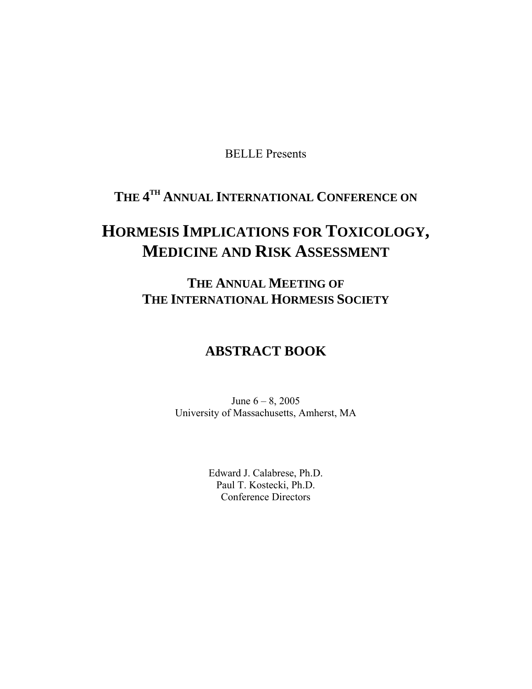BELLE Presents

# **THE 4TH ANNUAL INTERNATIONAL CONFERENCE ON**

# **HORMESIS IMPLICATIONS FOR TOXICOLOGY, MEDICINE AND RISK ASSESSMENT**

**THE ANNUAL MEETING OF THE INTERNATIONAL HORMESIS SOCIETY**

# **ABSTRACT BOOK**

June 6 – 8, 2005 University of Massachusetts, Amherst, MA

> Edward J. Calabrese, Ph.D. Paul T. Kostecki, Ph.D. Conference Directors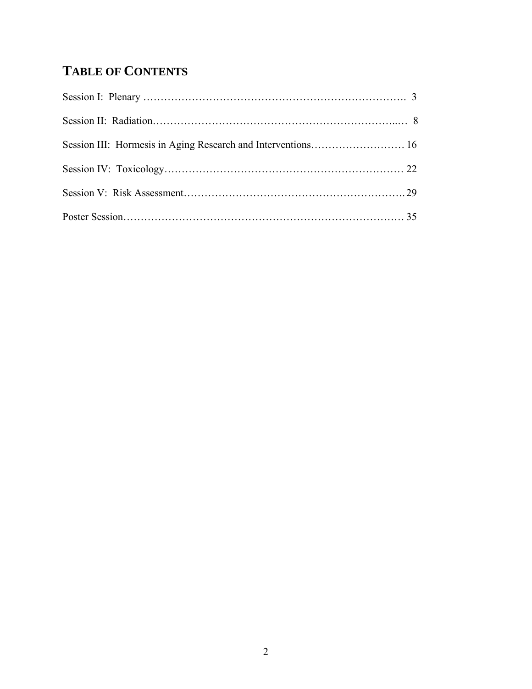# **TABLE OF CONTENTS**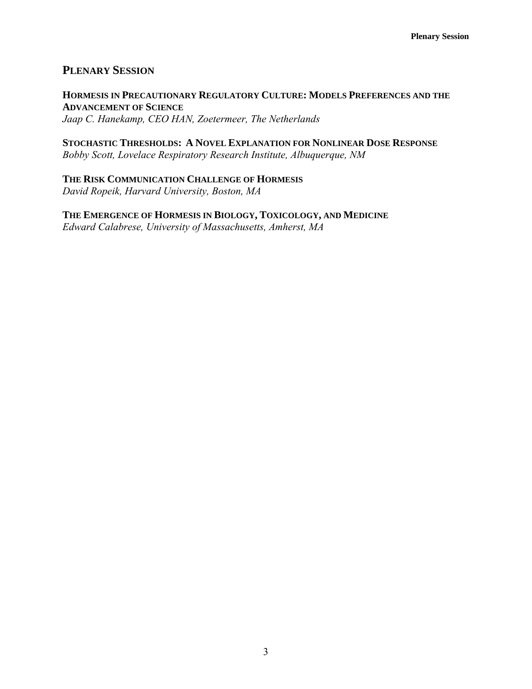# **PLENARY SESSION**

**HORMESIS IN PRECAUTIONARY REGULATORY CULTURE: MODELS PREFERENCES AND THE ADVANCEMENT OF SCIENCE** *Jaap C. Hanekamp, CEO HAN, Zoetermeer, The Netherlands* 

**STOCHASTIC THRESHOLDS: A NOVEL EXPLANATION FOR NONLINEAR DOSE RESPONSE** *Bobby Scott, Lovelace Respiratory Research Institute, Albuquerque, NM* 

**THE RISK COMMUNICATION CHALLENGE OF HORMESIS** *David Ropeik, Harvard University, Boston, MA* 

**THE EMERGENCE OF HORMESIS IN BIOLOGY, TOXICOLOGY, AND MEDICINE** *Edward Calabrese, University of Massachusetts, Amherst, MA*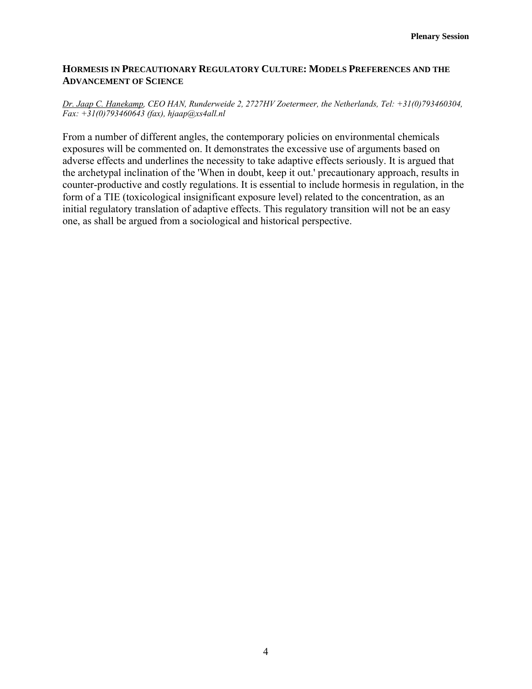# **HORMESIS IN PRECAUTIONARY REGULATORY CULTURE: MODELS PREFERENCES AND THE ADVANCEMENT OF SCIENCE**

#### *Dr. Jaap C. Hanekamp, CEO HAN, Runderweide 2, 2727HV Zoetermeer, the Netherlands, Tel: +31(0)793460304, Fax: +31(0)793460643 (fax), hjaap@xs4all.nl*

From a number of different angles, the contemporary policies on environmental chemicals exposures will be commented on. It demonstrates the excessive use of arguments based on adverse effects and underlines the necessity to take adaptive effects seriously. It is argued that the archetypal inclination of the 'When in doubt, keep it out.' precautionary approach, results in counter-productive and costly regulations. It is essential to include hormesis in regulation, in the form of a TIE (toxicological insignificant exposure level) related to the concentration, as an initial regulatory translation of adaptive effects. This regulatory transition will not be an easy one, as shall be argued from a sociological and historical perspective.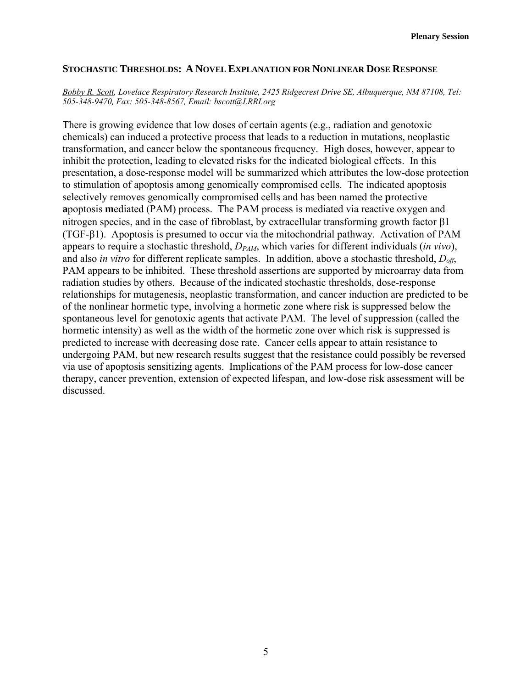### **STOCHASTIC THRESHOLDS: A NOVEL EXPLANATION FOR NONLINEAR DOSE RESPONSE**

#### *Bobby R. Scott, Lovelace Respiratory Research Institute, 2425 Ridgecrest Drive SE, Albuquerque, NM 87108, Tel: 505-348-9470, Fax: 505-348-8567, Email: bscott@LRRI.org*

There is growing evidence that low doses of certain agents (e.g., radiation and genotoxic chemicals) can induced a protective process that leads to a reduction in mutations, neoplastic transformation, and cancer below the spontaneous frequency. High doses, however, appear to inhibit the protection, leading to elevated risks for the indicated biological effects. In this presentation, a dose-response model will be summarized which attributes the low-dose protection to stimulation of apoptosis among genomically compromised cells. The indicated apoptosis selectively removes genomically compromised cells and has been named the **p**rotective **a**poptosis **m**ediated (PAM) process. The PAM process is mediated via reactive oxygen and nitrogen species, and in the case of fibroblast, by extracellular transforming growth factor β1 (TGF-β1). Apoptosis is presumed to occur via the mitochondrial pathway. Activation of PAM appears to require a stochastic threshold, *DPAM*, which varies for different individuals (*in vivo*), and also *in vitro* for different replicate samples. In addition, above a stochastic threshold, *Doff*, PAM appears to be inhibited. These threshold assertions are supported by microarray data from radiation studies by others. Because of the indicated stochastic thresholds, dose-response relationships for mutagenesis, neoplastic transformation, and cancer induction are predicted to be of the nonlinear hormetic type, involving a hormetic zone where risk is suppressed below the spontaneous level for genotoxic agents that activate PAM. The level of suppression (called the hormetic intensity) as well as the width of the hormetic zone over which risk is suppressed is predicted to increase with decreasing dose rate. Cancer cells appear to attain resistance to undergoing PAM, but new research results suggest that the resistance could possibly be reversed via use of apoptosis sensitizing agents. Implications of the PAM process for low-dose cancer therapy, cancer prevention, extension of expected lifespan, and low-dose risk assessment will be discussed.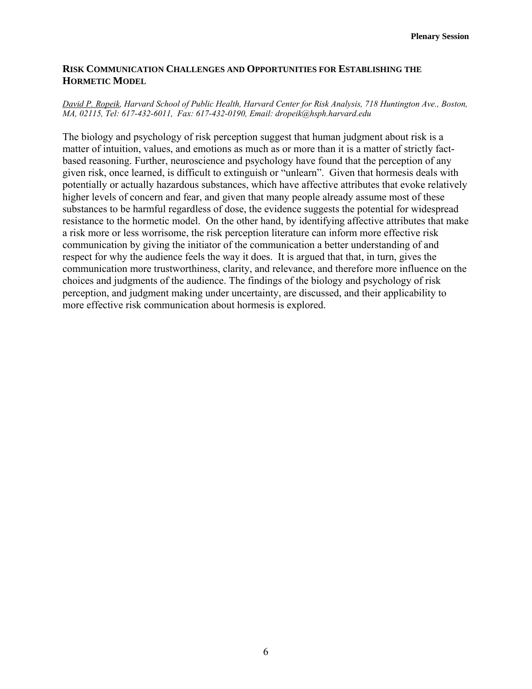# **RISK COMMUNICATION CHALLENGES AND OPPORTUNITIES FOR ESTABLISHING THE HORMETIC MODEL**

#### *David P. Ropeik, Harvard School of Public Health, Harvard Center for Risk Analysis, 718 Huntington Ave., Boston, MA, 02115, Tel: 617-432-6011, Fax: 617-432-0190, Email: dropeik@hsph.harvard.edu*

The biology and psychology of risk perception suggest that human judgment about risk is a matter of intuition, values, and emotions as much as or more than it is a matter of strictly factbased reasoning. Further, neuroscience and psychology have found that the perception of any given risk, once learned, is difficult to extinguish or "unlearn". Given that hormesis deals with potentially or actually hazardous substances, which have affective attributes that evoke relatively higher levels of concern and fear, and given that many people already assume most of these substances to be harmful regardless of dose, the evidence suggests the potential for widespread resistance to the hormetic model. On the other hand, by identifying affective attributes that make a risk more or less worrisome, the risk perception literature can inform more effective risk communication by giving the initiator of the communication a better understanding of and respect for why the audience feels the way it does. It is argued that that, in turn, gives the communication more trustworthiness, clarity, and relevance, and therefore more influence on the choices and judgments of the audience. The findings of the biology and psychology of risk perception, and judgment making under uncertainty, are discussed, and their applicability to more effective risk communication about hormesis is explored.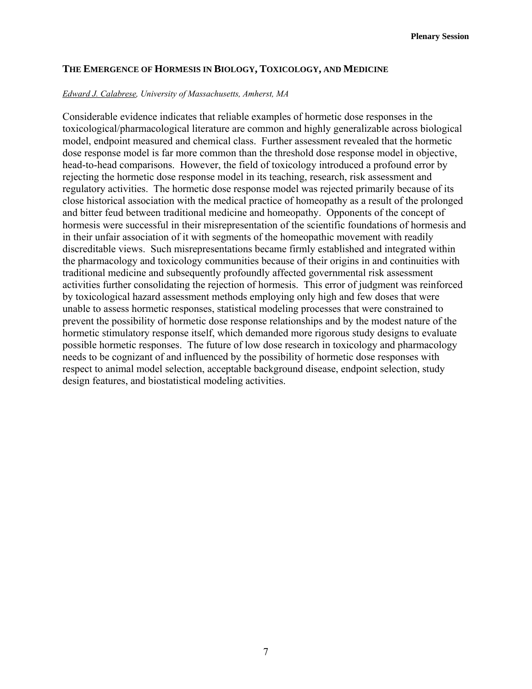# **THE EMERGENCE OF HORMESIS IN BIOLOGY, TOXICOLOGY, AND MEDICINE**

#### *Edward J. Calabrese, University of Massachusetts, Amherst, MA*

Considerable evidence indicates that reliable examples of hormetic dose responses in the toxicological/pharmacological literature are common and highly generalizable across biological model, endpoint measured and chemical class. Further assessment revealed that the hormetic dose response model is far more common than the threshold dose response model in objective, head-to-head comparisons. However, the field of toxicology introduced a profound error by rejecting the hormetic dose response model in its teaching, research, risk assessment and regulatory activities. The hormetic dose response model was rejected primarily because of its close historical association with the medical practice of homeopathy as a result of the prolonged and bitter feud between traditional medicine and homeopathy. Opponents of the concept of hormesis were successful in their misrepresentation of the scientific foundations of hormesis and in their unfair association of it with segments of the homeopathic movement with readily discreditable views. Such misrepresentations became firmly established and integrated within the pharmacology and toxicology communities because of their origins in and continuities with traditional medicine and subsequently profoundly affected governmental risk assessment activities further consolidating the rejection of hormesis. This error of judgment was reinforced by toxicological hazard assessment methods employing only high and few doses that were unable to assess hormetic responses, statistical modeling processes that were constrained to prevent the possibility of hormetic dose response relationships and by the modest nature of the hormetic stimulatory response itself, which demanded more rigorous study designs to evaluate possible hormetic responses. The future of low dose research in toxicology and pharmacology needs to be cognizant of and influenced by the possibility of hormetic dose responses with respect to animal model selection, acceptable background disease, endpoint selection, study design features, and biostatistical modeling activities.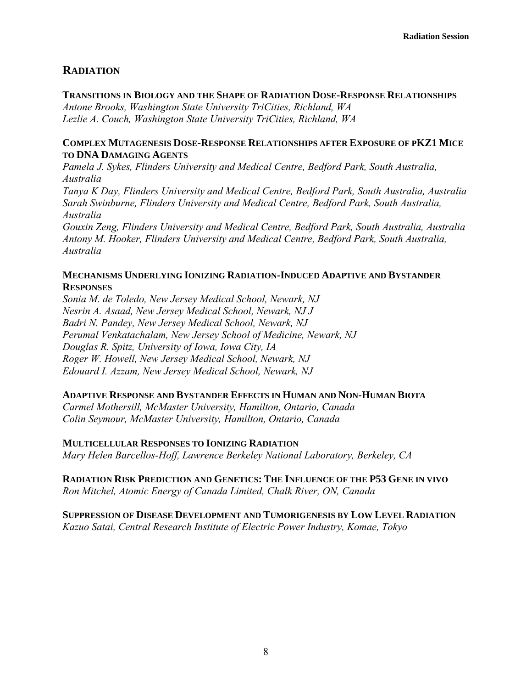# **RADIATION**

# **TRANSITIONS IN BIOLOGY AND THE SHAPE OF RADIATION DOSE-RESPONSE RELATIONSHIPS**

*Antone Brooks, Washington State University TriCities, Richland, WA Lezlie A. Couch, Washington State University TriCities, Richland, WA* 

# **COMPLEX MUTAGENESIS DOSE-RESPONSE RELATIONSHIPS AFTER EXPOSURE OF PKZ1 MICE TO DNA DAMAGING AGENTS**

*Pamela J. Sykes, Flinders University and Medical Centre, Bedford Park, South Australia, Australia* 

*Tanya K Day, Flinders University and Medical Centre, Bedford Park, South Australia, Australia Sarah Swinburne, Flinders University and Medical Centre, Bedford Park, South Australia, Australia* 

*Gouxin Zeng, Flinders University and Medical Centre, Bedford Park, South Australia, Australia Antony M. Hooker, Flinders University and Medical Centre, Bedford Park, South Australia, Australia* 

# **MECHANISMS UNDERLYING IONIZING RADIATION-INDUCED ADAPTIVE AND BYSTANDER RESPONSES**

*Sonia M. de Toledo, New Jersey Medical School, Newark, NJ Nesrin A. Asaad, New Jersey Medical School, Newark, NJ J Badri N. Pandey, New Jersey Medical School, Newark, NJ Perumal Venkatachalam, New Jersey School of Medicine, Newark, NJ Douglas R. Spitz, University of Iowa, Iowa City, IA Roger W. Howell, New Jersey Medical School, Newark, NJ Edouard I. Azzam, New Jersey Medical School, Newark, NJ* 

# **ADAPTIVE RESPONSE AND BYSTANDER EFFECTS IN HUMAN AND NON-HUMAN BIOTA**

*Carmel Mothersill, McMaster University, Hamilton, Ontario, Canada Colin Seymour, McMaster University, Hamilton, Ontario, Canada* 

# **MULTICELLULAR RESPONSES TO IONIZING RADIATION**

*Mary Helen Barcellos-Hoff, Lawrence Berkeley National Laboratory, Berkeley, CA* 

# **RADIATION RISK PREDICTION AND GENETICS: THE INFLUENCE OF THE P53 GENE IN VIVO** *Ron Mitchel, Atomic Energy of Canada Limited, Chalk River, ON, Canada*

**SUPPRESSION OF DISEASE DEVELOPMENT AND TUMORIGENESIS BY LOW LEVEL RADIATION** *Kazuo Satai, Central Research Institute of Electric Power Industry, Komae, Tokyo*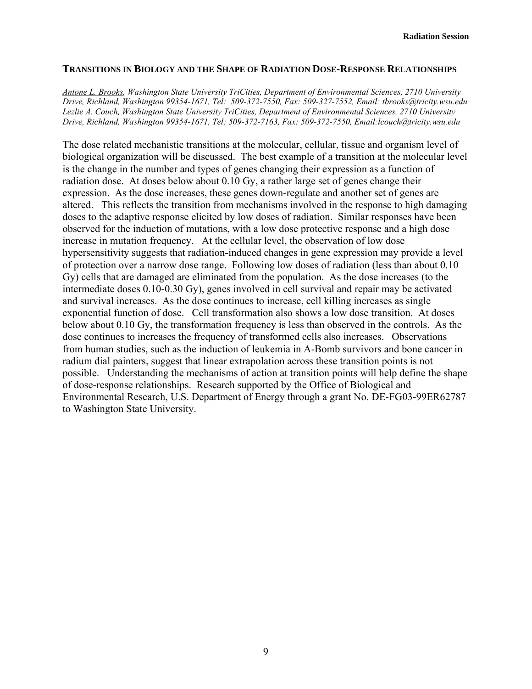# **TRANSITIONS IN BIOLOGY AND THE SHAPE OF RADIATION DOSE-RESPONSE RELATIONSHIPS**

*Antone L. Brooks, Washington State University TriCities, Department of Environmental Sciences, 2710 University Drive, Richland, Washington 99354-1671, Tel: 509-372-7550, Fax: 509-327-7552, Email: tbrooks@tricity.wsu.edu Lezlie A. Couch, Washington State University TriCities, Department of Environmental Sciences, 2710 University Drive, Richland, Washington 99354-1671, Tel: 509-372-7163, Fax: 509-372-7550, Email:lcouch@tricity.wsu.edu* 

The dose related mechanistic transitions at the molecular, cellular, tissue and organism level of biological organization will be discussed. The best example of a transition at the molecular level is the change in the number and types of genes changing their expression as a function of radiation dose. At doses below about 0.10 Gy, a rather large set of genes change their expression. As the dose increases, these genes down-regulate and another set of genes are altered. This reflects the transition from mechanisms involved in the response to high damaging doses to the adaptive response elicited by low doses of radiation. Similar responses have been observed for the induction of mutations, with a low dose protective response and a high dose increase in mutation frequency. At the cellular level, the observation of low dose hypersensitivity suggests that radiation-induced changes in gene expression may provide a level of protection over a narrow dose range. Following low doses of radiation (less than about 0.10 Gy) cells that are damaged are eliminated from the population. As the dose increases (to the intermediate doses 0.10-0.30 Gy), genes involved in cell survival and repair may be activated and survival increases. As the dose continues to increase, cell killing increases as single exponential function of dose. Cell transformation also shows a low dose transition. At doses below about 0.10 Gy, the transformation frequency is less than observed in the controls. As the dose continues to increases the frequency of transformed cells also increases. Observations from human studies, such as the induction of leukemia in A-Bomb survivors and bone cancer in radium dial painters, suggest that linear extrapolation across these transition points is not possible. Understanding the mechanisms of action at transition points will help define the shape of dose-response relationships. Research supported by the Office of Biological and Environmental Research, U.S. Department of Energy through a grant No. DE-FG03-99ER62787 to Washington State University.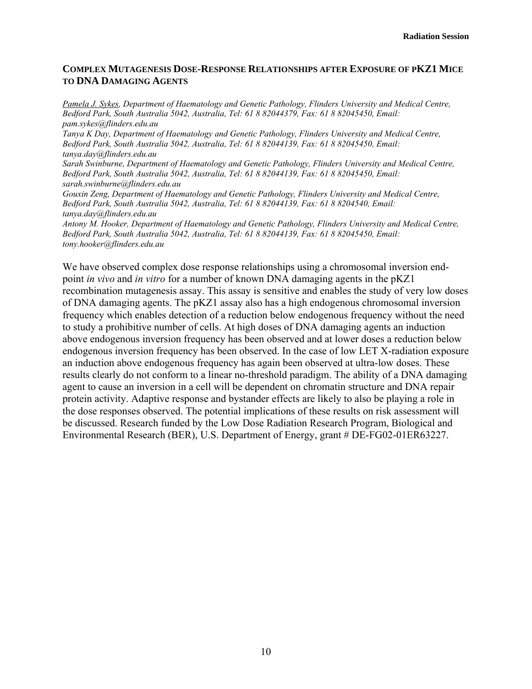# **COMPLEX MUTAGENESIS DOSE-RESPONSE RELATIONSHIPS AFTER EXPOSURE OF PKZ1 MICE TO DNA DAMAGING AGENTS**

*Pamela J. Sykes, Department of Haematology and Genetic Pathology, Flinders University and Medical Centre, Bedford Park, South Australia 5042, Australia, Tel: 61 8 82044379, Fax: 61 8 82045450, Email: pam.sykes@flinders.edu.au Tanya K Day, Department of Haematology and Genetic Pathology, Flinders University and Medical Centre, Bedford Park, South Australia 5042, Australia, Tel: 61 8 82044139, Fax: 61 8 82045450, Email: tanya.day@flinders.edu.au Sarah Swinburne, Department of Haematology and Genetic Pathology, Flinders University and Medical Centre, Bedford Park, South Australia 5042, Australia, Tel: 61 8 82044139, Fax: 61 8 82045450, Email: sarah.swinburne@flinders.edu.au Gouxin Zeng, Department of Haematology and Genetic Pathology, Flinders University and Medical Centre, Bedford Park, South Australia 5042, Australia, Tel: 61 8 82044139, Fax: 61 8 8204540, Email: tanya.day@flinders.edu.au Antony M. Hooker, Department of Haematology and Genetic Pathology, Flinders University and Medical Centre, Bedford Park, South Australia 5042, Australia, Tel: 61 8 82044139, Fax: 61 8 82045450, Email: tony.hooker@flinders.edu.au* 

We have observed complex dose response relationships using a chromosomal inversion endpoint *in vivo* and *in vitro* for a number of known DNA damaging agents in the pKZ1 recombination mutagenesis assay. This assay is sensitive and enables the study of very low doses of DNA damaging agents. The pKZ1 assay also has a high endogenous chromosomal inversion frequency which enables detection of a reduction below endogenous frequency without the need to study a prohibitive number of cells. At high doses of DNA damaging agents an induction above endogenous inversion frequency has been observed and at lower doses a reduction below endogenous inversion frequency has been observed. In the case of low LET X-radiation exposure an induction above endogenous frequency has again been observed at ultra-low doses. These results clearly do not conform to a linear no-threshold paradigm. The ability of a DNA damaging agent to cause an inversion in a cell will be dependent on chromatin structure and DNA repair protein activity. Adaptive response and bystander effects are likely to also be playing a role in the dose responses observed. The potential implications of these results on risk assessment will be discussed. Research funded by the Low Dose Radiation Research Program, Biological and Environmental Research (BER), U.S. Department of Energy, grant # DE-FG02-01ER63227.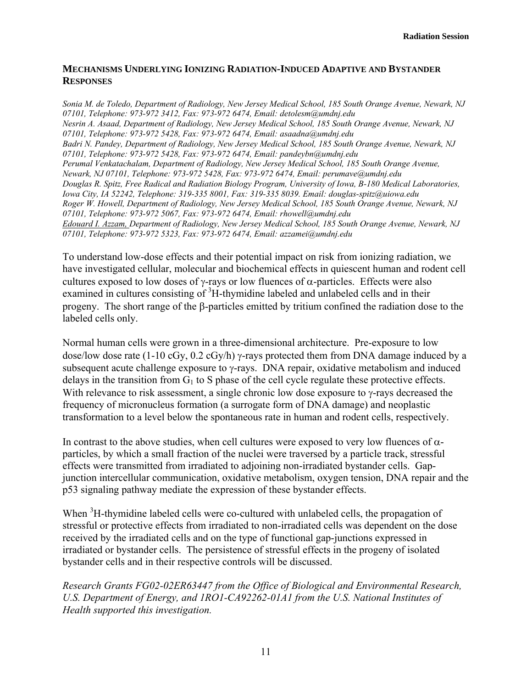# **MECHANISMS UNDERLYING IONIZING RADIATION-INDUCED ADAPTIVE AND BYSTANDER RESPONSES**

*Sonia M. de Toledo, Department of Radiology, New Jersey Medical School, 185 South Orange Avenue, Newark, NJ 07101, Telephone: 973-972 3412, Fax: 973-972 6474, Email: detolesm@umdnj.edu Nesrin A. Asaad, Department of Radiology, New Jersey Medical School, 185 South Orange Avenue, Newark, NJ 07101, Telephone: 973-972 5428, Fax: 973-972 6474, Email: asaadna@umdnj.edu Badri N. Pandey, Department of Radiology, New Jersey Medical School, 185 South Orange Avenue, Newark, NJ 07101, Telephone: 973-972 5428, Fax: 973-972 6474, Email: pandeybn@umdnj.edu Perumal Venkatachalam, Department of Radiology, New Jersey Medical School, 185 South Orange Avenue, Newark, NJ 07101, Telephone: 973-972 5428, Fax: 973-972 6474, Email: perumave@umdnj.edu Douglas R. Spitz, Free Radical and Radiation Biology Program, University of Iowa, B-180 Medical Laboratories, Iowa City, IA 52242, Telephone: 319-335 8001, Fax: 319-335 8039. Email: douglas-spitz@uiowa.edu Roger W. Howell, Department of Radiology, New Jersey Medical School, 185 South Orange Avenue, Newark, NJ 07101, Telephone: 973-972 5067, Fax: 973-972 6474, Email: rhowell@umdnj.edu Edouard I. Azzam, Department of Radiology, New Jersey Medical School, 185 South Orange Avenue, Newark, NJ 07101, Telephone: 973-972 5323, Fax: 973-972 6474, Email: azzamei@umdnj.edu* 

To understand low-dose effects and their potential impact on risk from ionizing radiation, we have investigated cellular, molecular and biochemical effects in quiescent human and rodent cell cultures exposed to low doses of  $\gamma$ -rays or low fluences of  $\alpha$ -particles. Effects were also examined in cultures consisting of <sup>3</sup>H-thymidine labeled and unlabeled cells and in their progeny. The short range of the β-particles emitted by tritium confined the radiation dose to the labeled cells only.

Normal human cells were grown in a three-dimensional architecture. Pre-exposure to low dose/low dose rate (1-10 cGy, 0.2 cGy/h) γ-rays protected them from DNA damage induced by a subsequent acute challenge exposure to γ-rays. DNA repair, oxidative metabolism and induced delays in the transition from  $G_1$  to S phase of the cell cycle regulate these protective effects. With relevance to risk assessment, a single chronic low dose exposure to γ-rays decreased the frequency of micronucleus formation (a surrogate form of DNA damage) and neoplastic transformation to a level below the spontaneous rate in human and rodent cells, respectively.

In contrast to the above studies, when cell cultures were exposed to very low fluences of  $\alpha$ particles, by which a small fraction of the nuclei were traversed by a particle track, stressful effects were transmitted from irradiated to adjoining non-irradiated bystander cells. Gapjunction intercellular communication, oxidative metabolism, oxygen tension, DNA repair and the p53 signaling pathway mediate the expression of these bystander effects.

When  ${}^{3}$ H-thymidine labeled cells were co-cultured with unlabeled cells, the propagation of stressful or protective effects from irradiated to non-irradiated cells was dependent on the dose received by the irradiated cells and on the type of functional gap-junctions expressed in irradiated or bystander cells. The persistence of stressful effects in the progeny of isolated bystander cells and in their respective controls will be discussed.

*Research Grants FG02-02ER63447 from the Office of Biological and Environmental Research,*  U.S. Department of Energy, and 1RO1-CA92262-01A1 from the U.S. National Institutes of *Health supported this investigation.*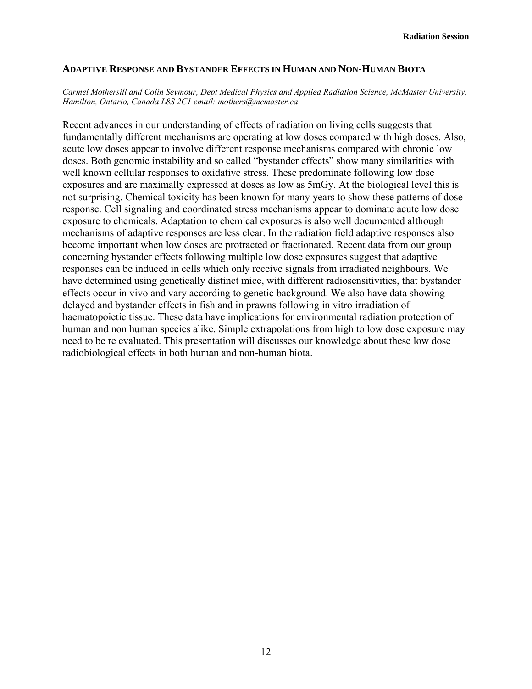#### **ADAPTIVE RESPONSE AND BYSTANDER EFFECTS IN HUMAN AND NON-HUMAN BIOTA**

#### *Carmel Mothersill and Colin Seymour, Dept Medical Physics and Applied Radiation Science, McMaster University, Hamilton, Ontario, Canada L8S 2C1 email: mothers@mcmaster.ca*

Recent advances in our understanding of effects of radiation on living cells suggests that fundamentally different mechanisms are operating at low doses compared with high doses. Also, acute low doses appear to involve different response mechanisms compared with chronic low doses. Both genomic instability and so called "bystander effects" show many similarities with well known cellular responses to oxidative stress. These predominate following low dose exposures and are maximally expressed at doses as low as 5mGy. At the biological level this is not surprising. Chemical toxicity has been known for many years to show these patterns of dose response. Cell signaling and coordinated stress mechanisms appear to dominate acute low dose exposure to chemicals. Adaptation to chemical exposures is also well documented although mechanisms of adaptive responses are less clear. In the radiation field adaptive responses also become important when low doses are protracted or fractionated. Recent data from our group concerning bystander effects following multiple low dose exposures suggest that adaptive responses can be induced in cells which only receive signals from irradiated neighbours. We have determined using genetically distinct mice, with different radiosensitivities, that bystander effects occur in vivo and vary according to genetic background. We also have data showing delayed and bystander effects in fish and in prawns following in vitro irradiation of haematopoietic tissue. These data have implications for environmental radiation protection of human and non human species alike. Simple extrapolations from high to low dose exposure may need to be re evaluated. This presentation will discusses our knowledge about these low dose radiobiological effects in both human and non-human biota.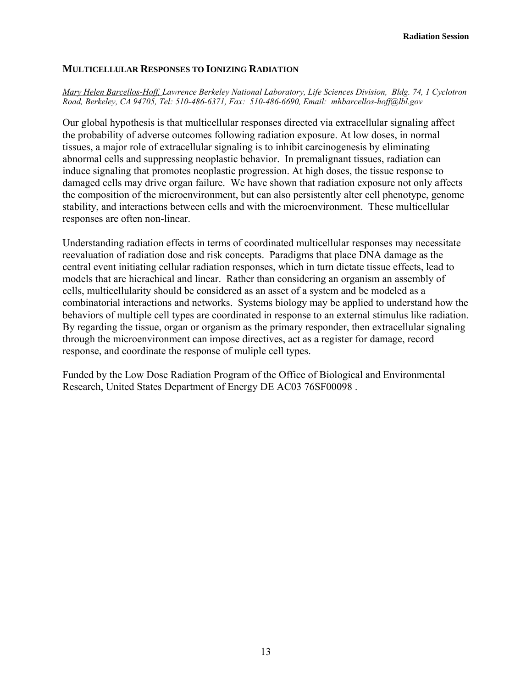#### **MULTICELLULAR RESPONSES TO IONIZING RADIATION**

*Mary Helen Barcellos-Hoff, Lawrence Berkeley National Laboratory, Life Sciences Division, Bldg. 74, 1 Cyclotron Road, Berkeley, CA 94705, Tel: 510-486-6371, Fax: 510-486-6690, Email: mhbarcellos-hoff@lbl.gov* 

Our global hypothesis is that multicellular responses directed via extracellular signaling affect the probability of adverse outcomes following radiation exposure. At low doses, in normal tissues, a major role of extracellular signaling is to inhibit carcinogenesis by eliminating abnormal cells and suppressing neoplastic behavior. In premalignant tissues, radiation can induce signaling that promotes neoplastic progression. At high doses, the tissue response to damaged cells may drive organ failure. We have shown that radiation exposure not only affects the composition of the microenvironment, but can also persistently alter cell phenotype, genome stability, and interactions between cells and with the microenvironment. These multicellular responses are often non-linear.

Understanding radiation effects in terms of coordinated multicellular responses may necessitate reevaluation of radiation dose and risk concepts. Paradigms that place DNA damage as the central event initiating cellular radiation responses, which in turn dictate tissue effects, lead to models that are hierachical and linear. Rather than considering an organism an assembly of cells, multicellularity should be considered as an asset of a system and be modeled as a combinatorial interactions and networks. Systems biology may be applied to understand how the behaviors of multiple cell types are coordinated in response to an external stimulus like radiation. By regarding the tissue, organ or organism as the primary responder, then extracellular signaling through the microenvironment can impose directives, act as a register for damage, record response, and coordinate the response of muliple cell types.

Funded by the Low Dose Radiation Program of the Office of Biological and Environmental Research, United States Department of Energy DE AC03 76SF00098 .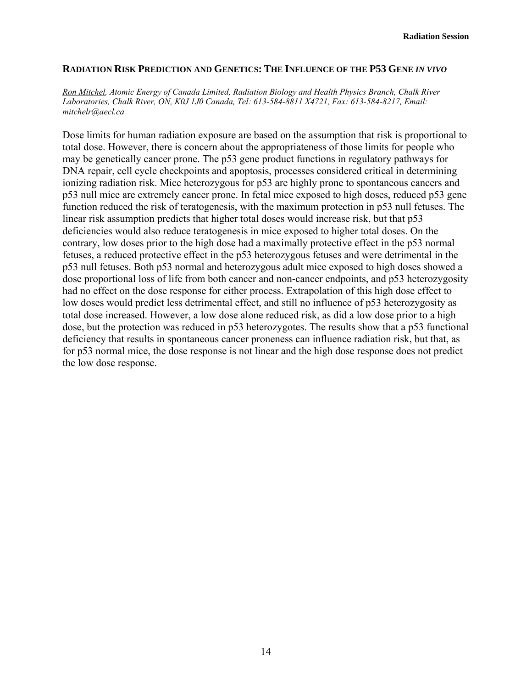### **RADIATION RISK PREDICTION AND GENETICS: THE INFLUENCE OF THE P53 GENE** *IN VIVO*

*Ron Mitchel, Atomic Energy of Canada Limited, Radiation Biology and Health Physics Branch, Chalk River Laboratories, Chalk River, ON, K0J 1J0 Canada, Tel: 613-584-8811 X4721, Fax: 613-584-8217, Email: mitchelr@aecl.ca* 

Dose limits for human radiation exposure are based on the assumption that risk is proportional to total dose. However, there is concern about the appropriateness of those limits for people who may be genetically cancer prone. The p53 gene product functions in regulatory pathways for DNA repair, cell cycle checkpoints and apoptosis, processes considered critical in determining ionizing radiation risk. Mice heterozygous for p53 are highly prone to spontaneous cancers and p53 null mice are extremely cancer prone. In fetal mice exposed to high doses, reduced p53 gene function reduced the risk of teratogenesis, with the maximum protection in p53 null fetuses. The linear risk assumption predicts that higher total doses would increase risk, but that p53 deficiencies would also reduce teratogenesis in mice exposed to higher total doses. On the contrary, low doses prior to the high dose had a maximally protective effect in the p53 normal fetuses, a reduced protective effect in the p53 heterozygous fetuses and were detrimental in the p53 null fetuses. Both p53 normal and heterozygous adult mice exposed to high doses showed a dose proportional loss of life from both cancer and non-cancer endpoints, and p53 heterozygosity had no effect on the dose response for either process. Extrapolation of this high dose effect to low doses would predict less detrimental effect, and still no influence of p53 heterozygosity as total dose increased. However, a low dose alone reduced risk, as did a low dose prior to a high dose, but the protection was reduced in p53 heterozygotes. The results show that a p53 functional deficiency that results in spontaneous cancer proneness can influence radiation risk, but that, as for p53 normal mice, the dose response is not linear and the high dose response does not predict the low dose response.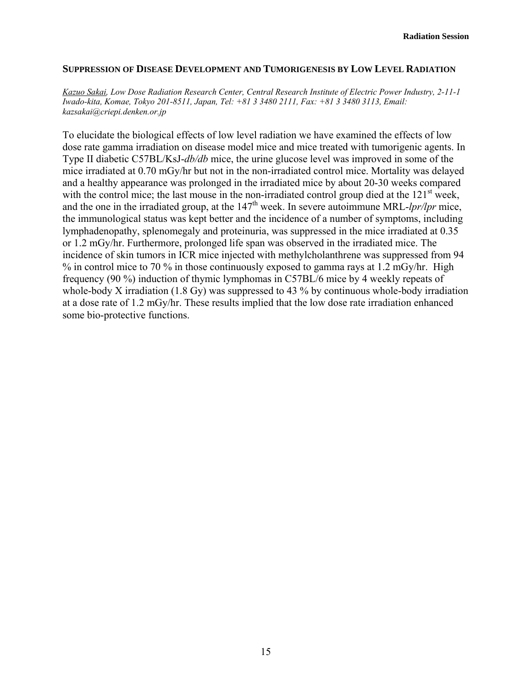#### **SUPPRESSION OF DISEASE DEVELOPMENT AND TUMORIGENESIS BY LOW LEVEL RADIATION**

*Kazuo Sakai, Low Dose Radiation Research Center, Central Research Institute of Electric Power Industry, 2-11-1 Iwado-kita, Komae, Tokyo 201-8511, Japan, Tel: +81 3 3480 2111, Fax: +81 3 3480 3113, Email: kazsakai@criepi.denken.or.jp* 

To elucidate the biological effects of low level radiation we have examined the effects of low dose rate gamma irradiation on disease model mice and mice treated with tumorigenic agents. In Type II diabetic C57BL/KsJ-*db/db* mice, the urine glucose level was improved in some of the mice irradiated at 0.70 mGy/hr but not in the non-irradiated control mice. Mortality was delayed and a healthy appearance was prolonged in the irradiated mice by about 20-30 weeks compared with the control mice; the last mouse in the non-irradiated control group died at the  $121<sup>st</sup>$  week, and the one in the irradiated group, at the  $147<sup>th</sup>$  week. In severe autoimmune MRL- $lpr/lpr$  mice, the immunological status was kept better and the incidence of a number of symptoms, including lymphadenopathy, splenomegaly and proteinuria, was suppressed in the mice irradiated at 0.35 or 1.2 mGy/hr. Furthermore, prolonged life span was observed in the irradiated mice. The incidence of skin tumors in ICR mice injected with methylcholanthrene was suppressed from 94 % in control mice to 70 % in those continuously exposed to gamma rays at 1.2 mGy/hr. High frequency (90 %) induction of thymic lymphomas in C57BL/6 mice by 4 weekly repeats of whole-body X irradiation (1.8 Gy) was suppressed to 43 % by continuous whole-body irradiation at a dose rate of 1.2 mGy/hr. These results implied that the low dose rate irradiation enhanced some bio-protective functions.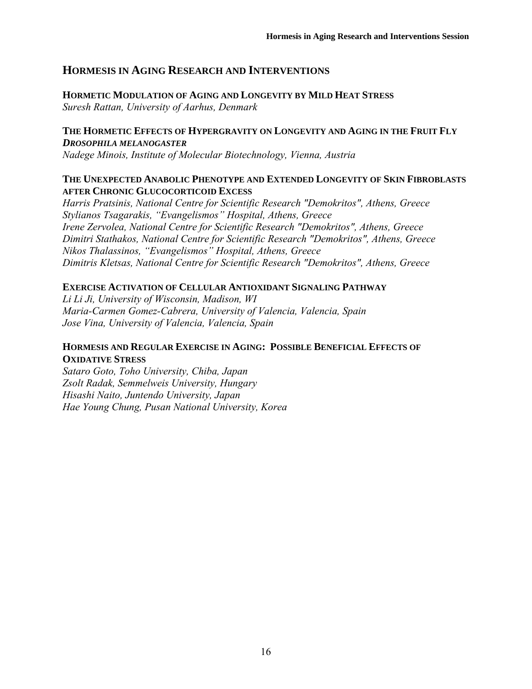# **HORMESIS IN AGING RESEARCH AND INTERVENTIONS**

# **HORMETIC MODULATION OF AGING AND LONGEVITY BY MILD HEAT STRESS** *Suresh Rattan, University of Aarhus, Denmark*

# **THE HORMETIC EFFECTS OF HYPERGRAVITY ON LONGEVITY AND AGING IN THE FRUIT FLY** *DROSOPHILA MELANOGASTER*

*Nadege Minois, Institute of Molecular Biotechnology, Vienna, Austria* 

# **THE UNEXPECTED ANABOLIC PHENOTYPE AND EXTENDED LONGEVITY OF SKIN FIBROBLASTS AFTER CHRONIC GLUCOCORTICOID EXCESS**

*Harris Pratsinis, National Centre for Scientific Research "Demokritos", Athens, Greece Stylianos Tsagarakis, "Evangelismos" Hospital, Athens, Greece Irene Zervolea, National Centre for Scientific Research "Demokritos", Athens, Greece Dimitri Stathakos, National Centre for Scientific Research "Demokritos", Athens, Greece Nikos Thalassinos, "Evangelismos" Hospital, Athens, Greece Dimitris Kletsas, National Centre for Scientific Research "Demokritos", Athens, Greece* 

# **EXERCISE ACTIVATION OF CELLULAR ANTIOXIDANT SIGNALING PATHWAY**

*Li Li Ji, University of Wisconsin, Madison, WI Maria-Carmen Gomez-Cabrera, University of Valencia, Valencia, Spain Jose Vina, University of Valencia, Valencia, Spain* 

# **HORMESIS AND REGULAR EXERCISE IN AGING: POSSIBLE BENEFICIAL EFFECTS OF OXIDATIVE STRESS**

*Sataro Goto, Toho University, Chiba, Japan Zsolt Radak, Semmelweis University, Hungary Hisashi Naito, Juntendo University, Japan Hae Young Chung, Pusan National University, Korea*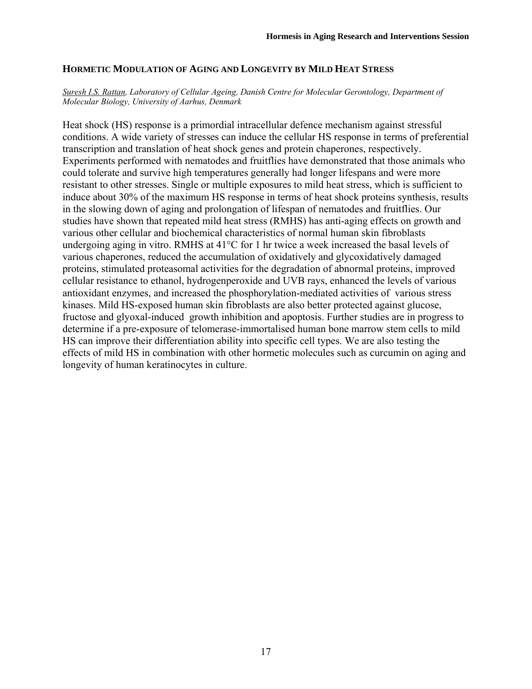# **HORMETIC MODULATION OF AGING AND LONGEVITY BY MILD HEAT STRESS**

#### *Suresh I.S. Rattan, Laboratory of Cellular Ageing, Danish Centre for Molecular Gerontology, Department of Molecular Biology, University of Aarhus, Denmark*

Heat shock (HS) response is a primordial intracellular defence mechanism against stressful conditions. A wide variety of stresses can induce the cellular HS response in terms of preferential transcription and translation of heat shock genes and protein chaperones, respectively. Experiments performed with nematodes and fruitflies have demonstrated that those animals who could tolerate and survive high temperatures generally had longer lifespans and were more resistant to other stresses. Single or multiple exposures to mild heat stress, which is sufficient to induce about 30% of the maximum HS response in terms of heat shock proteins synthesis, results in the slowing down of aging and prolongation of lifespan of nematodes and fruitflies. Our studies have shown that repeated mild heat stress (RMHS) has anti-aging effects on growth and various other cellular and biochemical characteristics of normal human skin fibroblasts undergoing aging in vitro. RMHS at  $41^{\circ}$ C for 1 hr twice a week increased the basal levels of various chaperones, reduced the accumulation of oxidatively and glycoxidatively damaged proteins, stimulated proteasomal activities for the degradation of abnormal proteins, improved cellular resistance to ethanol, hydrogenperoxide and UVB rays, enhanced the levels of various antioxidant enzymes, and increased the phosphorylation-mediated activities of various stress kinases. Mild HS-exposed human skin fibroblasts are also better protected against glucose, fructose and glyoxal-induced growth inhibition and apoptosis. Further studies are in progress to determine if a pre-exposure of telomerase-immortalised human bone marrow stem cells to mild HS can improve their differentiation ability into specific cell types. We are also testing the effects of mild HS in combination with other hormetic molecules such as curcumin on aging and longevity of human keratinocytes in culture.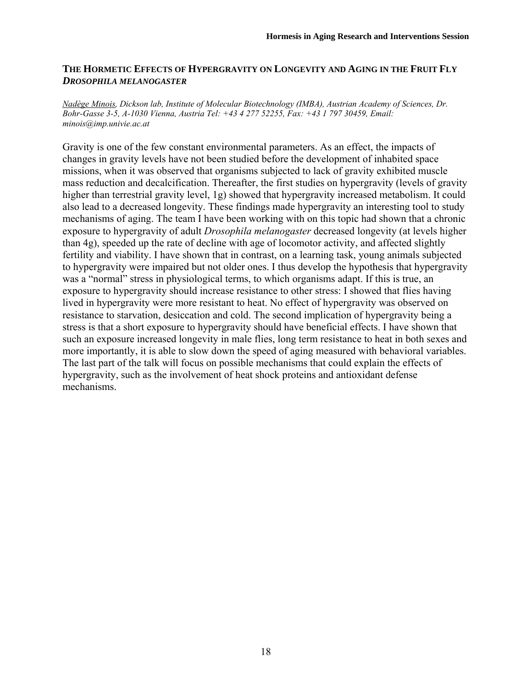# **THE HORMETIC EFFECTS OF HYPERGRAVITY ON LONGEVITY AND AGING IN THE FRUIT FLY**  *DROSOPHILA MELANOGASTER*

*Nadège Minois, Dickson lab, Institute of Molecular Biotechnology (IMBA), Austrian Academy of Sciences, Dr. Bohr-Gasse 3-5, A-1030 Vienna, Austria Tel: +43 4 277 52255, Fax: +43 1 797 30459, Email: minois@imp.univie.ac.at* 

Gravity is one of the few constant environmental parameters. As an effect, the impacts of changes in gravity levels have not been studied before the development of inhabited space missions, when it was observed that organisms subjected to lack of gravity exhibited muscle mass reduction and decalcification. Thereafter, the first studies on hypergravity (levels of gravity higher than terrestrial gravity level, 1g) showed that hypergravity increased metabolism. It could also lead to a decreased longevity. These findings made hypergravity an interesting tool to study mechanisms of aging. The team I have been working with on this topic had shown that a chronic exposure to hypergravity of adult *Drosophila melanogaster* decreased longevity (at levels higher than 4g), speeded up the rate of decline with age of locomotor activity, and affected slightly fertility and viability. I have shown that in contrast, on a learning task, young animals subjected to hypergravity were impaired but not older ones. I thus develop the hypothesis that hypergravity was a "normal" stress in physiological terms, to which organisms adapt. If this is true, an exposure to hypergravity should increase resistance to other stress: I showed that flies having lived in hypergravity were more resistant to heat. No effect of hypergravity was observed on resistance to starvation, desiccation and cold. The second implication of hypergravity being a stress is that a short exposure to hypergravity should have beneficial effects. I have shown that such an exposure increased longevity in male flies, long term resistance to heat in both sexes and more importantly, it is able to slow down the speed of aging measured with behavioral variables. The last part of the talk will focus on possible mechanisms that could explain the effects of hypergravity, such as the involvement of heat shock proteins and antioxidant defense mechanisms.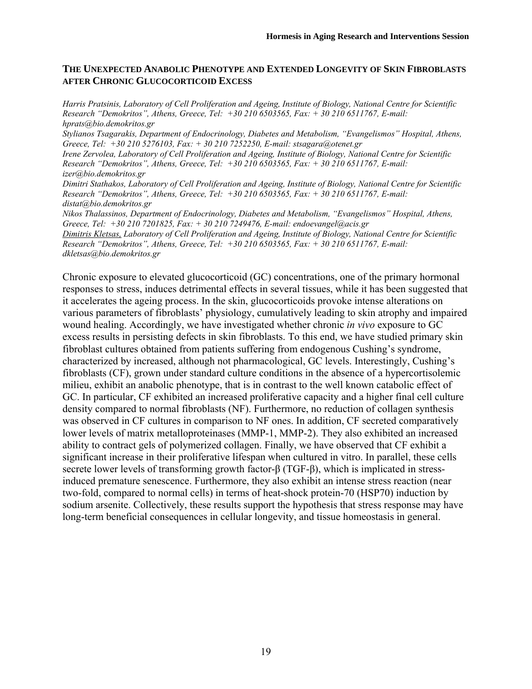## **THE UNEXPECTED ANABOLIC PHENOTYPE AND EXTENDED LONGEVITY OF SKIN FIBROBLASTS AFTER CHRONIC GLUCOCORTICOID EXCESS**

*Harris Pratsinis, Laboratory of Cell Proliferation and Ageing, Institute of Biology, National Centre for Scientific Research "Demokritos", Athens, Greece, Tel: +30 210 6503565, Fax: + 30 210 6511767, E-mail: hprats@bio.demokritos.gr* 

*Stylianos Tsagarakis, Department of Endocrinology, Diabetes and Metabolism, "Evangelismos" Hospital, Athens, Greece, Tel: +30 210 5276103, Fax: + 30 210 7252250, E-mail: stsagara@otenet.gr* 

*Irene Zervolea, Laboratory of Cell Proliferation and Ageing, Institute of Biology, National Centre for Scientific Research "Demokritos", Athens, Greece, Tel: +30 210 6503565, Fax: + 30 210 6511767, E-mail: izer@bio.demokritos.gr* 

*Dimitri Stathakos, Laboratory of Cell Proliferation and Ageing, Institute of Biology, National Centre for Scientific Research "Demokritos", Athens, Greece, Tel: +30 210 6503565, Fax: + 30 210 6511767, E-mail: distat@bio.demokritos.gr* 

*Nikos Thalassinos, Department of Endocrinology, Diabetes and Metabolism, "Evangelismos" Hospital, Athens, Greece, Tel: +30 210 7201825, Fax: + 30 210 7249476, E-mail: endoevangel@acis.gr Dimitris Kletsas, Laboratory of Cell Proliferation and Ageing, Institute of Biology, National Centre for Scientific* 

*Research "Demokritos", Athens, Greece, Tel: +30 210 6503565, Fax: + 30 210 6511767, E-mail: dkletsas@bio.demokritos.gr* 

Chronic exposure to elevated glucocorticoid (GC) concentrations, one of the primary hormonal responses to stress, induces detrimental effects in several tissues, while it has been suggested that it accelerates the ageing process. In the skin, glucocorticoids provoke intense alterations on various parameters of fibroblasts' physiology, cumulatively leading to skin atrophy and impaired wound healing. Accordingly, we have investigated whether chronic *in vivo* exposure to GC excess results in persisting defects in skin fibroblasts. To this end, we have studied primary skin fibroblast cultures obtained from patients suffering from endogenous Cushing's syndrome, characterized by increased, although not pharmacological, GC levels. Interestingly, Cushing's fibroblasts (CF), grown under standard culture conditions in the absence of a hypercortisolemic milieu, exhibit an anabolic phenotype, that is in contrast to the well known catabolic effect of GC. In particular, CF exhibited an increased proliferative capacity and a higher final cell culture density compared to normal fibroblasts (NF). Furthermore, no reduction of collagen synthesis was observed in CF cultures in comparison to NF ones. In addition, CF secreted comparatively lower levels of matrix metalloproteinases (MMP-1, MMP-2). They also exhibited an increased ability to contract gels of polymerized collagen. Finally, we have observed that CF exhibit a significant increase in their proliferative lifespan when cultured in vitro. In parallel, these cells secrete lower levels of transforming growth factor-β (TGF-β), which is implicated in stressinduced premature senescence. Furthermore, they also exhibit an intense stress reaction (near two-fold, compared to normal cells) in terms of heat-shock protein-70 (HSP70) induction by sodium arsenite. Collectively, these results support the hypothesis that stress response may have long-term beneficial consequences in cellular longevity, and tissue homeostasis in general.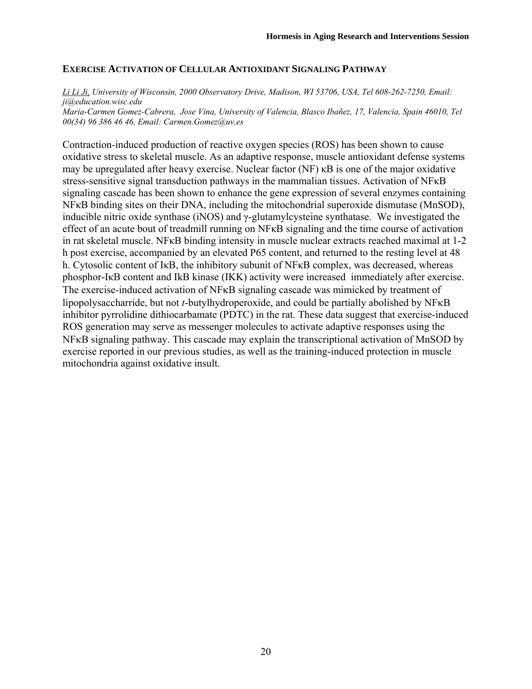# **EXERCISE ACTIVATION OF CELLULAR ANTIOXIDANT SIGNALING PATHWAY**

*Li Li Ji, University of Wisconsin, 2000 Observatory Drive, Madison, WI 53706, USA, Tel 608-262-7250, Email: ji@education.wisc.edu Maria-Carmen Gomez-Cabrera, Jose Vina, University of Valencia, Blasco Ibañez, 17, Valencia, Spain 46010, Tel 00(34) 96 386 46 46, Email: Carmen.Gomez@uv.es* 

Contraction-induced production of reactive oxygen species (ROS) has been shown to cause oxidative stress to skeletal muscle. As an adaptive response, muscle antioxidant defense systems may be upregulated after heavy exercise. Nuclear factor (NF) κB is one of the major oxidative stress-sensitive signal transduction pathways in the mammalian tissues. Activation of NFκB signaling cascade has been shown to enhance the gene expression of several enzymes containing NFκB binding sites on their DNA, including the mitochondrial superoxide dismutase (MnSOD), inducible nitric oxide synthase (iNOS) and γ-glutamylcysteine synthatase. We investigated the effect of an acute bout of treadmill running on NFκB signaling and the time course of activation in rat skeletal muscle. NFκB binding intensity in muscle nuclear extracts reached maximal at 1-2 h post exercise, accompanied by an elevated P65 content, and returned to the resting level at 48 h. Cytosolic content of IκB, the inhibitory subunit of NFκB complex, was decreased, whereas phosphor-IκB content and IkB kinase (IKK) activity were increased immediately after exercise. The exercise-induced activation of NFκB signaling cascade was mimicked by treatment of lipopolysaccharride, but not *t*-butylhydroperoxide, and could be partially abolished by NFκB inhibitor pyrrolidine dithiocarbamate (PDTC) in the rat. These data suggest that exercise-induced ROS generation may serve as messenger molecules to activate adaptive responses using the NFκB signaling pathway. This cascade may explain the transcriptional activation of MnSOD by exercise reported in our previous studies, as well as the training-induced protection in muscle mitochondria against oxidative insult.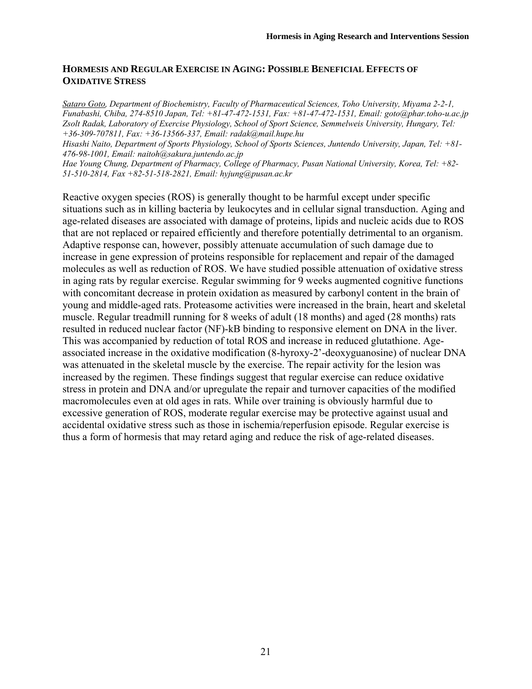# **HORMESIS AND REGULAR EXERCISE IN AGING: POSSIBLE BENEFICIAL EFFECTS OF OXIDATIVE STRESS**

*Sataro Goto, Department of Biochemistry, Faculty of Pharmaceutical Sciences, Toho University, Miyama 2-2-1, Funabashi, Chiba, 274-8510 Japan, Tel: +81-47-472-1531, Fax: +81-47-472-1531, Email: goto@phar.toho-u.ac.jp Zsolt Radak, Laboratory of Exercise Physiology, School of Sport Science, Semmelweis University, Hungary, Tel: +36-309-707811, Fax: +36-13566-337, Email: radak@mail.hupe.hu* 

*Hisashi Naito, Department of Sports Physiology, School of Sports Sciences, Juntendo University, Japan, Tel: +81- 476-98-1001, Email: naitoh@sakura.juntendo.ac.jp* 

*Hae Young Chung, Department of Pharmacy, College of Pharmacy, Pusan National University, Korea, Tel: +82- 51-510-2814, Fax +82-51-518-2821, Email: hyjung@pusan.ac.kr* 

Reactive oxygen species (ROS) is generally thought to be harmful except under specific situations such as in killing bacteria by leukocytes and in cellular signal transduction. Aging and age-related diseases are associated with damage of proteins, lipids and nucleic acids due to ROS that are not replaced or repaired efficiently and therefore potentially detrimental to an organism. Adaptive response can, however, possibly attenuate accumulation of such damage due to increase in gene expression of proteins responsible for replacement and repair of the damaged molecules as well as reduction of ROS. We have studied possible attenuation of oxidative stress in aging rats by regular exercise. Regular swimming for 9 weeks augmented cognitive functions with concomitant decrease in protein oxidation as measured by carbonyl content in the brain of young and middle-aged rats. Proteasome activities were increased in the brain, heart and skeletal muscle. Regular treadmill running for 8 weeks of adult (18 months) and aged (28 months) rats resulted in reduced nuclear factor (NF)-kB binding to responsive element on DNA in the liver. This was accompanied by reduction of total ROS and increase in reduced glutathione. Ageassociated increase in the oxidative modification (8-hyroxy-2'-deoxyguanosine) of nuclear DNA was attenuated in the skeletal muscle by the exercise. The repair activity for the lesion was increased by the regimen. These findings suggest that regular exercise can reduce oxidative stress in protein and DNA and/or upregulate the repair and turnover capacities of the modified macromolecules even at old ages in rats. While over training is obviously harmful due to excessive generation of ROS, moderate regular exercise may be protective against usual and accidental oxidative stress such as those in ischemia/reperfusion episode. Regular exercise is thus a form of hormesis that may retard aging and reduce the risk of age-related diseases.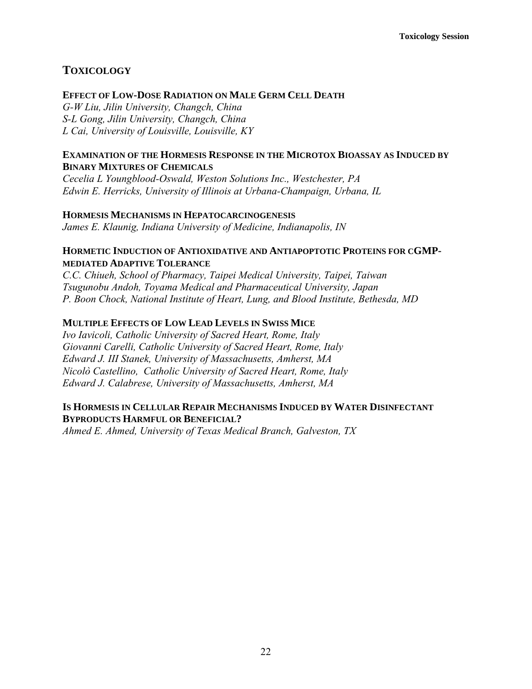# **TOXICOLOGY**

# **EFFECT OF LOW-DOSE RADIATION ON MALE GERM CELL DEATH**

*G-W Liu, Jilin University, Changch, China S-L Gong, Jilin University, Changch, China L Cai, University of Louisville, Louisville, KY* 

# **EXAMINATION OF THE HORMESIS RESPONSE IN THE MICROTOX BIOASSAY AS INDUCED BY BINARY MIXTURES OF CHEMICALS**

*Cecelia L Youngblood-Oswald, Weston Solutions Inc., Westchester, PA Edwin E. Herricks, University of Illinois at Urbana-Champaign, Urbana, IL* 

## **HORMESIS MECHANISMS IN HEPATOCARCINOGENESIS**

*James E. Klaunig, Indiana University of Medicine, Indianapolis, IN* 

# **HORMETIC INDUCTION OF ANTIOXIDATIVE AND ANTIAPOPTOTIC PROTEINS FOR CGMP-MEDIATED ADAPTIVE TOLERANCE**

*C.C. Chiueh, School of Pharmacy, Taipei Medical University, Taipei, Taiwan Tsugunobu Andoh, Toyama Medical and Pharmaceutical University, Japan P. Boon Chock, National Institute of Heart, Lung, and Blood Institute, Bethesda, MD* 

# **MULTIPLE EFFECTS OF LOW LEAD LEVELS IN SWISS MICE**

*Ivo Iavicoli, Catholic University of Sacred Heart, Rome, Italy Giovanni Carelli, Catholic University of Sacred Heart, Rome, Italy Edward J. III Stanek, University of Massachusetts, Amherst, MA Nicolò Castellino, Catholic University of Sacred Heart, Rome, Italy Edward J. Calabrese, University of Massachusetts, Amherst, MA* 

# **IS HORMESIS IN CELLULAR REPAIR MECHANISMS INDUCED BY WATER DISINFECTANT BYPRODUCTS HARMFUL OR BENEFICIAL?**

*Ahmed E. Ahmed, University of Texas Medical Branch, Galveston, TX*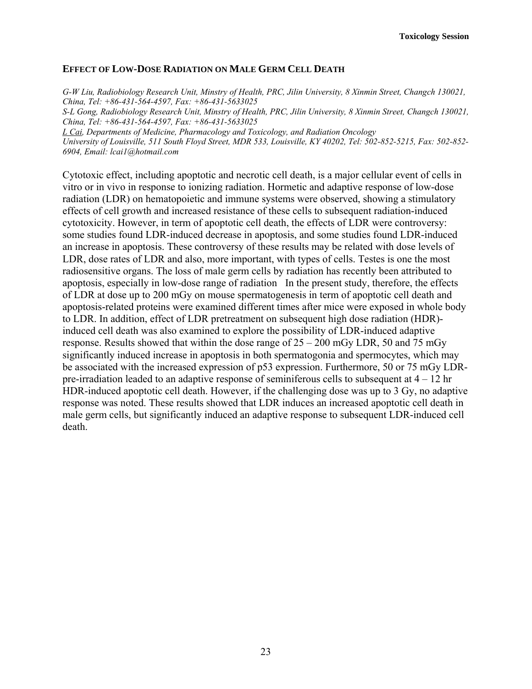# **EFFECT OF LOW-DOSE RADIATION ON MALE GERM CELL DEATH**

*G-W Liu, Radiobiology Research Unit, Minstry of Health, PRC, Jilin University, 8 Xinmin Street, Changch 130021, China, Tel: +86-431-564-4597, Fax: +86-431-5633025 S-L Gong, Radiobiology Research Unit, Minstry of Health, PRC, Jilin University, 8 Xinmin Street, Changch 130021, China, Tel: +86-431-564-4597, Fax: +86-431-5633025 L Cai, Departments of Medicine, Pharmacology and Toxicology, and Radiation Oncology University of Louisville, 511 South Floyd Street, MDR 533, Louisville, KY 40202, Tel: 502-852-5215, Fax: 502-852-*

*6904, Email: lcai1@hotmail.com* 

Cytotoxic effect, including apoptotic and necrotic cell death, is a major cellular event of cells in vitro or in vivo in response to ionizing radiation. Hormetic and adaptive response of low-dose radiation (LDR) on hematopoietic and immune systems were observed, showing a stimulatory effects of cell growth and increased resistance of these cells to subsequent radiation-induced cytotoxicity. However, in term of apoptotic cell death, the effects of LDR were controversy: some studies found LDR-induced decrease in apoptosis, and some studies found LDR-induced an increase in apoptosis. These controversy of these results may be related with dose levels of LDR, dose rates of LDR and also, more important, with types of cells. Testes is one the most radiosensitive organs. The loss of male germ cells by radiation has recently been attributed to apoptosis, especially in low-dose range of radiation In the present study, therefore, the effects of LDR at dose up to 200 mGy on mouse spermatogenesis in term of apoptotic cell death and apoptosis-related proteins were examined different times after mice were exposed in whole body to LDR. In addition, effect of LDR pretreatment on subsequent high dose radiation (HDR) induced cell death was also examined to explore the possibility of LDR-induced adaptive response. Results showed that within the dose range of  $25 - 200$  mGy LDR, 50 and 75 mGy significantly induced increase in apoptosis in both spermatogonia and spermocytes, which may be associated with the increased expression of p53 expression. Furthermore, 50 or 75 mGy LDRpre-irradiation leaded to an adaptive response of seminiferous cells to subsequent at  $4 - 12$  hr HDR-induced apoptotic cell death. However, if the challenging dose was up to 3 Gy, no adaptive response was noted. These results showed that LDR induces an increased apoptotic cell death in male germ cells, but significantly induced an adaptive response to subsequent LDR-induced cell death.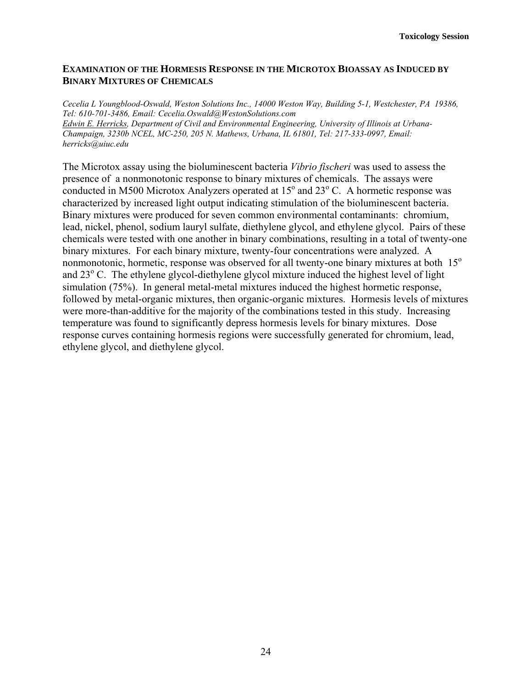# **EXAMINATION OF THE HORMESIS RESPONSE IN THE MICROTOX BIOASSAY AS INDUCED BY BINARY MIXTURES OF CHEMICALS**

*Cecelia L Youngblood-Oswald, Weston Solutions Inc., 14000 Weston Way, Building 5-1, Westchester, PA 19386, Tel: 610-701-3486, Email: Cecelia.Oswald@WestonSolutions.com Edwin E. Herricks, Department of Civil and Environmental Engineering, University of Illinois at Urbana-Champaign, 3230b NCEL, MC-250, 205 N. Mathews, Urbana, IL 61801, Tel: 217-333-0997, Email: herricks@uiuc.edu* 

The Microtox assay using the bioluminescent bacteria *Vibrio fischeri* was used to assess the presence of a nonmonotonic response to binary mixtures of chemicals. The assays were conducted in M500 Microtox Analyzers operated at  $15^{\circ}$  and  $23^{\circ}$  C. A hormetic response was characterized by increased light output indicating stimulation of the bioluminescent bacteria. Binary mixtures were produced for seven common environmental contaminants: chromium, lead, nickel, phenol, sodium lauryl sulfate, diethylene glycol, and ethylene glycol. Pairs of these chemicals were tested with one another in binary combinations, resulting in a total of twenty-one binary mixtures. For each binary mixture, twenty-four concentrations were analyzed. A nonmonotonic, hormetic, response was observed for all twenty-one binary mixtures at both  $15^{\circ}$ and 23<sup>°</sup> C. The ethylene glycol-diethylene glycol mixture induced the highest level of light simulation (75%). In general metal-metal mixtures induced the highest hormetic response, followed by metal-organic mixtures, then organic-organic mixtures. Hormesis levels of mixtures were more-than-additive for the majority of the combinations tested in this study. Increasing temperature was found to significantly depress hormesis levels for binary mixtures. Dose response curves containing hormesis regions were successfully generated for chromium, lead, ethylene glycol, and diethylene glycol.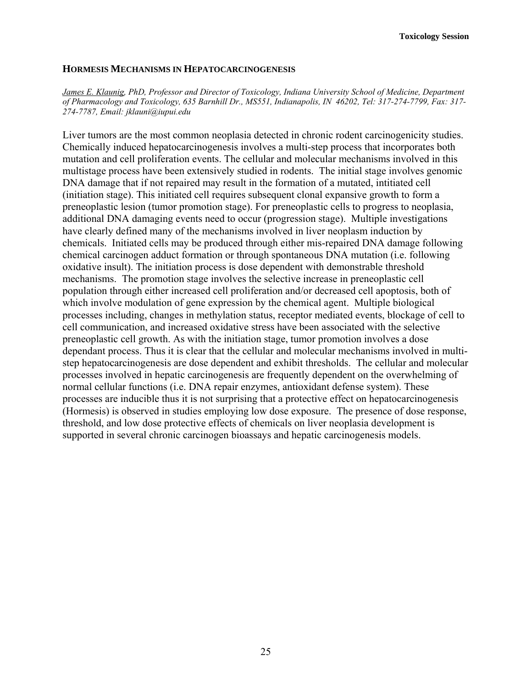#### **HORMESIS MECHANISMS IN HEPATOCARCINOGENESIS**

*James E. Klaunig, PhD, Professor and Director of Toxicology, Indiana University School of Medicine, Department of Pharmacology and Toxicology, 635 Barnhill Dr., MS551, Indianapolis, IN 46202, Tel: 317-274-7799, Fax: 317- 274-7787, Email: jklauni@iupui.edu* 

Liver tumors are the most common neoplasia detected in chronic rodent carcinogenicity studies. Chemically induced hepatocarcinogenesis involves a multi-step process that incorporates both mutation and cell proliferation events. The cellular and molecular mechanisms involved in this multistage process have been extensively studied in rodents. The initial stage involves genomic DNA damage that if not repaired may result in the formation of a mutated, intitiated cell (initiation stage). This initiated cell requires subsequent clonal expansive growth to form a preneoplastic lesion (tumor promotion stage). For preneoplastic cells to progress to neoplasia, additional DNA damaging events need to occur (progression stage). Multiple investigations have clearly defined many of the mechanisms involved in liver neoplasm induction by chemicals. Initiated cells may be produced through either mis-repaired DNA damage following chemical carcinogen adduct formation or through spontaneous DNA mutation (i.e. following oxidative insult). The initiation process is dose dependent with demonstrable threshold mechanisms. The promotion stage involves the selective increase in preneoplastic cell population through either increased cell proliferation and/or decreased cell apoptosis, both of which involve modulation of gene expression by the chemical agent. Multiple biological processes including, changes in methylation status, receptor mediated events, blockage of cell to cell communication, and increased oxidative stress have been associated with the selective preneoplastic cell growth. As with the initiation stage, tumor promotion involves a dose dependant process. Thus it is clear that the cellular and molecular mechanisms involved in multistep hepatocarcinogenesis are dose dependent and exhibit thresholds. The cellular and molecular processes involved in hepatic carcinogenesis are frequently dependent on the overwhelming of normal cellular functions (i.e. DNA repair enzymes, antioxidant defense system). These processes are inducible thus it is not surprising that a protective effect on hepatocarcinogenesis (Hormesis) is observed in studies employing low dose exposure. The presence of dose response, threshold, and low dose protective effects of chemicals on liver neoplasia development is supported in several chronic carcinogen bioassays and hepatic carcinogenesis models.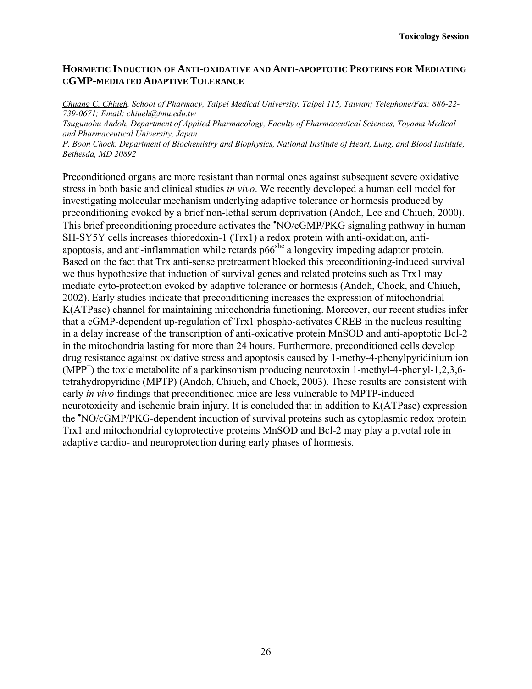# **HORMETIC INDUCTION OF ANTI-OXIDATIVE AND ANTI-APOPTOTIC PROTEINS FOR MEDIATING CGMP-MEDIATED ADAPTIVE TOLERANCE**

*Chuang C. Chiueh, School of Pharmacy, Taipei Medical University, Taipei 115, Taiwan; Telephone/Fax: 886-22- 739-0671; Email: chiueh@tmu.edu.tw* 

*Tsugunobu Andoh, Department of Applied Pharmacology, Faculty of Pharmaceutical Sciences, Toyama Medical and Pharmaceutical University, Japan* 

*P. Boon Chock, Department of Biochemistry and Biophysics, National Institute of Heart, Lung, and Blood Institute, Bethesda, MD 20892* 

Preconditioned organs are more resistant than normal ones against subsequent severe oxidative stress in both basic and clinical studies *in vivo*. We recently developed a human cell model for investigating molecular mechanism underlying adaptive tolerance or hormesis produced by preconditioning evoked by a brief non-lethal serum deprivation (Andoh, Lee and Chiueh, 2000). This brief preconditioning procedure activates the 'NO/cGMP/PKG signaling pathway in human SH-SY5Y cells increases thioredoxin-1 (Trx1) a redox protein with anti-oxidation, antiapoptosis, and anti-inflammation while retards  $p66<sup>she</sup>$  a longevity impeding adaptor protein. Based on the fact that Trx anti-sense pretreatment blocked this preconditioning-induced survival we thus hypothesize that induction of survival genes and related proteins such as Trx1 may mediate cyto-protection evoked by adaptive tolerance or hormesis (Andoh, Chock, and Chiueh, 2002). Early studies indicate that preconditioning increases the expression of mitochondrial K(ATPase) channel for maintaining mitochondria functioning. Moreover, our recent studies infer that a cGMP-dependent up-regulation of Trx1 phospho-activates CREB in the nucleus resulting in a delay increase of the transcription of anti-oxidative protein MnSOD and anti-apoptotic Bcl-2 in the mitochondria lasting for more than 24 hours. Furthermore, preconditioned cells develop drug resistance against oxidative stress and apoptosis caused by 1-methy-4-phenylpyridinium ion  $(MPP<sup>+</sup>)$  the toxic metabolite of a parkinsonism producing neurotoxin 1-methyl-4-phenyl-1,2,3,6tetrahydropyridine (MPTP) (Andoh, Chiueh, and Chock, 2003). These results are consistent with early *in vivo* findings that preconditioned mice are less vulnerable to MPTP-induced neurotoxicity and ischemic brain injury. It is concluded that in addition to K(ATPase) expression the • NO/cGMP/PKG-dependent induction of survival proteins such as cytoplasmic redox protein Trx1 and mitochondrial cytoprotective proteins MnSOD and Bcl-2 may play a pivotal role in adaptive cardio- and neuroprotection during early phases of hormesis.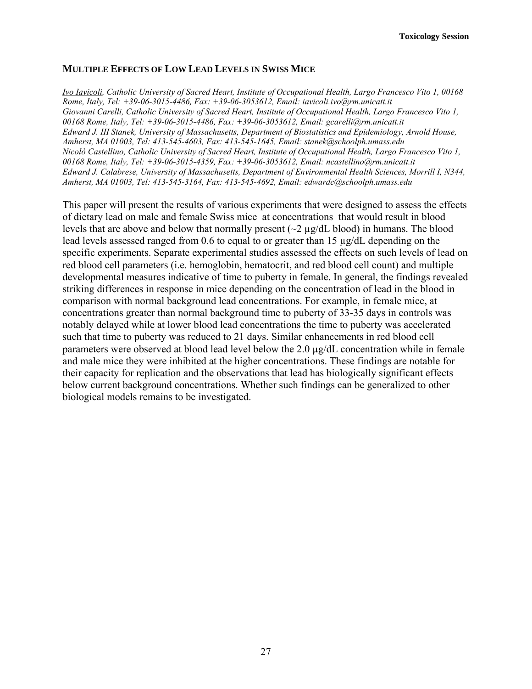# **MULTIPLE EFFECTS OF LOW LEAD LEVELS IN SWISS MICE**

*Ivo Iavicoli, Catholic University of Sacred Heart, Institute of Occupational Health, Largo Francesco Vito 1, 00168 Rome, Italy, Tel: +39-06-3015-4486, Fax: +39-06-3053612, Email: iavicoli.ivo@rm.unicatt.it Giovanni Carelli, Catholic University of Sacred Heart, Institute of Occupational Health, Largo Francesco Vito 1, 00168 Rome, Italy, Tel: +39-06-3015-4486, Fax: +39-06-3053612, Email: gcarelli@rm.unicatt.it Edward J. III Stanek, University of Massachusetts, Department of Biostatistics and Epidemiology, Arnold House, Amherst, MA 01003, Tel: 413-545-4603, Fax: 413-545-1645, Email: stanek@schoolph.umass.edu Nicolò Castellino, Catholic University of Sacred Heart, Institute of Occupational Health, Largo Francesco Vito 1, 00168 Rome, Italy, Tel: +39-06-3015-4359, Fax: +39-06-3053612, Email: ncastellino@rm.unicatt.it Edward J. Calabrese, University of Massachusetts, Department of Environmental Health Sciences, Morrill I, N344, Amherst, MA 01003, Tel: 413-545-3164, Fax: 413-545-4692, Email: edwardc@schoolph.umass.edu* 

This paper will present the results of various experiments that were designed to assess the effects of dietary lead on male and female Swiss mice at concentrations that would result in blood levels that are above and below that normally present  $\sim$   $\frac{2 \mu g}{dL}$  blood) in humans. The blood lead levels assessed ranged from 0.6 to equal to or greater than 15 µg/dL depending on the specific experiments. Separate experimental studies assessed the effects on such levels of lead on red blood cell parameters (i.e. hemoglobin, hematocrit, and red blood cell count) and multiple developmental measures indicative of time to puberty in female. In general, the findings revealed striking differences in response in mice depending on the concentration of lead in the blood in comparison with normal background lead concentrations. For example, in female mice, at concentrations greater than normal background time to puberty of 33-35 days in controls was notably delayed while at lower blood lead concentrations the time to puberty was accelerated such that time to puberty was reduced to 21 days. Similar enhancements in red blood cell parameters were observed at blood lead level below the 2.0 µg/dL concentration while in female and male mice they were inhibited at the higher concentrations. These findings are notable for their capacity for replication and the observations that lead has biologically significant effects below current background concentrations. Whether such findings can be generalized to other biological models remains to be investigated.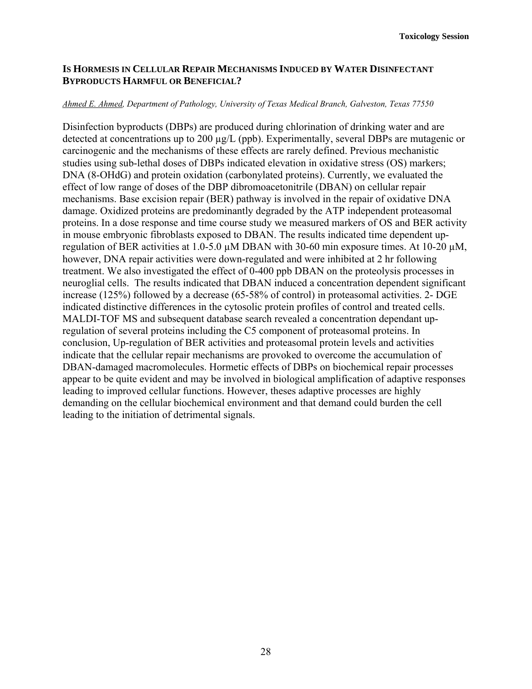# **IS HORMESIS IN CELLULAR REPAIR MECHANISMS INDUCED BY WATER DISINFECTANT BYPRODUCTS HARMFUL OR BENEFICIAL?**

#### *Ahmed E. Ahmed, Department of Pathology, University of Texas Medical Branch, Galveston, Texas 77550*

Disinfection byproducts (DBPs) are produced during chlorination of drinking water and are detected at concentrations up to 200 µg/L (ppb). Experimentally, several DBPs are mutagenic or carcinogenic and the mechanisms of these effects are rarely defined. Previous mechanistic studies using sub-lethal doses of DBPs indicated elevation in oxidative stress (OS) markers; DNA (8-OHdG) and protein oxidation (carbonylated proteins). Currently, we evaluated the effect of low range of doses of the DBP dibromoacetonitrile (DBAN) on cellular repair mechanisms. Base excision repair (BER) pathway is involved in the repair of oxidative DNA damage. Oxidized proteins are predominantly degraded by the ATP independent proteasomal proteins. In a dose response and time course study we measured markers of OS and BER activity in mouse embryonic fibroblasts exposed to DBAN. The results indicated time dependent upregulation of BER activities at 1.0-5.0  $\mu$ M DBAN with 30-60 min exposure times. At 10-20  $\mu$ M, however, DNA repair activities were down-regulated and were inhibited at 2 hr following treatment. We also investigated the effect of 0-400 ppb DBAN on the proteolysis processes in neuroglial cells. The results indicated that DBAN induced a concentration dependent significant increase (125%) followed by a decrease (65-58% of control) in proteasomal activities. 2- DGE indicated distinctive differences in the cytosolic protein profiles of control and treated cells. MALDI-TOF MS and subsequent database search revealed a concentration dependant upregulation of several proteins including the C5 component of proteasomal proteins. In conclusion, Up-regulation of BER activities and proteasomal protein levels and activities indicate that the cellular repair mechanisms are provoked to overcome the accumulation of DBAN-damaged macromolecules. Hormetic effects of DBPs on biochemical repair processes appear to be quite evident and may be involved in biological amplification of adaptive responses leading to improved cellular functions. However, theses adaptive processes are highly demanding on the cellular biochemical environment and that demand could burden the cell leading to the initiation of detrimental signals.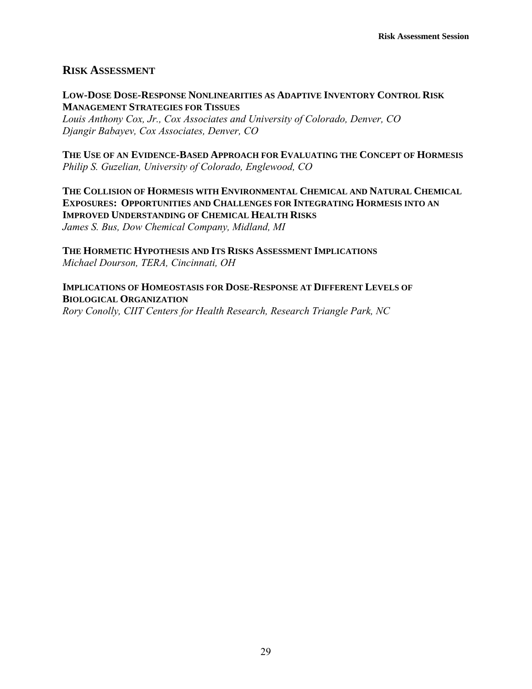# **RISK ASSESSMENT**

# **LOW-DOSE DOSE-RESPONSE NONLINEARITIES AS ADAPTIVE INVENTORY CONTROL RISK MANAGEMENT STRATEGIES FOR TISSUES**

*Louis Anthony Cox, Jr., Cox Associates and University of Colorado, Denver, CO Djangir Babayev, Cox Associates, Denver, CO* 

**THE USE OF AN EVIDENCE-BASED APPROACH FOR EVALUATING THE CONCEPT OF HORMESIS** *Philip S. Guzelian, University of Colorado, Englewood, CO* 

**THE COLLISION OF HORMESIS WITH ENVIRONMENTAL CHEMICAL AND NATURAL CHEMICAL EXPOSURES: OPPORTUNITIES AND CHALLENGES FOR INTEGRATING HORMESIS INTO AN IMPROVED UNDERSTANDING OF CHEMICAL HEALTH RISKS** *James S. Bus, Dow Chemical Company, Midland, MI* 

**THE HORMETIC HYPOTHESIS AND ITS RISKS ASSESSMENT IMPLICATIONS** *Michael Dourson, TERA, Cincinnati, OH* 

**IMPLICATIONS OF HOMEOSTASIS FOR DOSE-RESPONSE AT DIFFERENT LEVELS OF BIOLOGICAL ORGANIZATION**

*Rory Conolly, CIIT Centers for Health Research, Research Triangle Park, NC*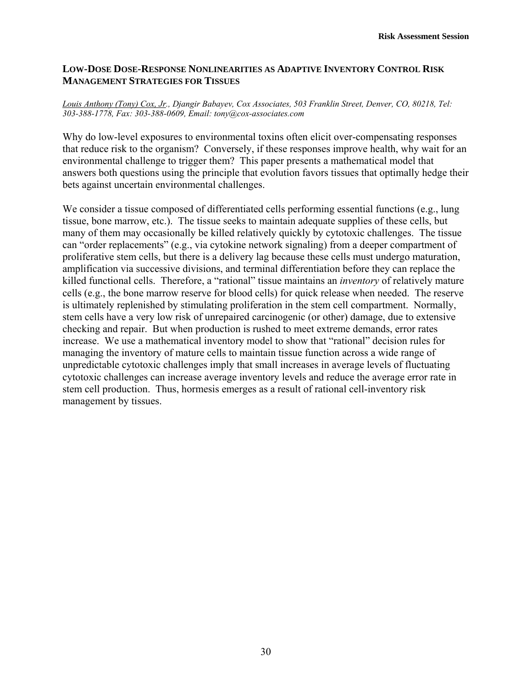# **LOW-DOSE DOSE-RESPONSE NONLINEARITIES AS ADAPTIVE INVENTORY CONTROL RISK MANAGEMENT STRATEGIES FOR TISSUES**

#### *Louis Anthony (Tony) Cox, Jr., Djangir Babayev, Cox Associates, 503 Franklin Street, Denver, CO, 80218, Tel: 303-388-1778, Fax: 303-388-0609, Email: tony@cox-associates.com*

Why do low-level exposures to environmental toxins often elicit over-compensating responses that reduce risk to the organism? Conversely, if these responses improve health, why wait for an environmental challenge to trigger them? This paper presents a mathematical model that answers both questions using the principle that evolution favors tissues that optimally hedge their bets against uncertain environmental challenges.

We consider a tissue composed of differentiated cells performing essential functions (e.g., lung) tissue, bone marrow, etc.). The tissue seeks to maintain adequate supplies of these cells, but many of them may occasionally be killed relatively quickly by cytotoxic challenges. The tissue can "order replacements" (e.g., via cytokine network signaling) from a deeper compartment of proliferative stem cells, but there is a delivery lag because these cells must undergo maturation, amplification via successive divisions, and terminal differentiation before they can replace the killed functional cells. Therefore, a "rational" tissue maintains an *inventory* of relatively mature cells (e.g., the bone marrow reserve for blood cells) for quick release when needed. The reserve is ultimately replenished by stimulating proliferation in the stem cell compartment. Normally, stem cells have a very low risk of unrepaired carcinogenic (or other) damage, due to extensive checking and repair. But when production is rushed to meet extreme demands, error rates increase. We use a mathematical inventory model to show that "rational" decision rules for managing the inventory of mature cells to maintain tissue function across a wide range of unpredictable cytotoxic challenges imply that small increases in average levels of fluctuating cytotoxic challenges can increase average inventory levels and reduce the average error rate in stem cell production. Thus, hormesis emerges as a result of rational cell-inventory risk management by tissues.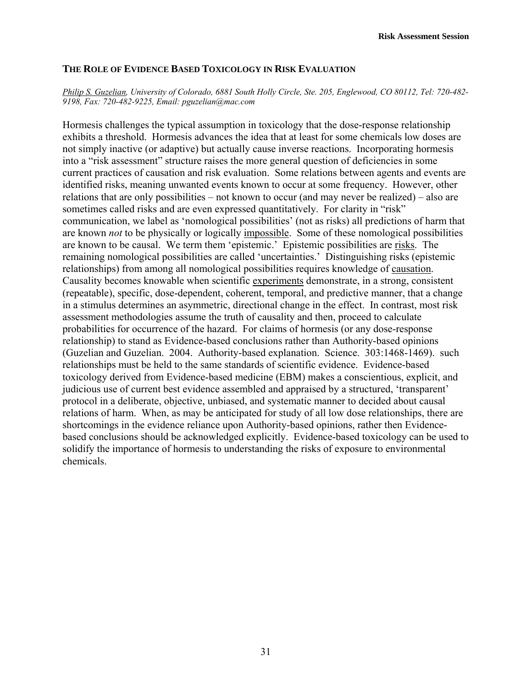## **THE ROLE OF EVIDENCE BASED TOXICOLOGY IN RISK EVALUATION**

#### *Philip S. Guzelian, University of Colorado, 6881 South Holly Circle, Ste. 205, Englewood, CO 80112, Tel: 720-482- 9198, Fax: 720-482-9225, Email: pguzelian@mac.com*

Hormesis challenges the typical assumption in toxicology that the dose-response relationship exhibits a threshold. Hormesis advances the idea that at least for some chemicals low doses are not simply inactive (or adaptive) but actually cause inverse reactions. Incorporating hormesis into a "risk assessment" structure raises the more general question of deficiencies in some current practices of causation and risk evaluation. Some relations between agents and events are identified risks, meaning unwanted events known to occur at some frequency. However, other relations that are only possibilities – not known to occur (and may never be realized) – also are sometimes called risks and are even expressed quantitatively. For clarity in "risk" communication, we label as 'nomological possibilities' (not as risks) all predictions of harm that are known *not* to be physically or logically impossible. Some of these nomological possibilities are known to be causal. We term them 'epistemic.' Epistemic possibilities are risks. The remaining nomological possibilities are called 'uncertainties.' Distinguishing risks (epistemic relationships) from among all nomological possibilities requires knowledge of causation. Causality becomes knowable when scientific experiments demonstrate, in a strong, consistent (repeatable), specific, dose-dependent, coherent, temporal, and predictive manner, that a change in a stimulus determines an asymmetric, directional change in the effect. In contrast, most risk assessment methodologies assume the truth of causality and then, proceed to calculate probabilities for occurrence of the hazard. For claims of hormesis (or any dose-response relationship) to stand as Evidence-based conclusions rather than Authority-based opinions (Guzelian and Guzelian. 2004. Authority-based explanation. Science. 303:1468-1469). such relationships must be held to the same standards of scientific evidence. Evidence-based toxicology derived from Evidence-based medicine (EBM) makes a conscientious, explicit, and judicious use of current best evidence assembled and appraised by a structured, 'transparent' protocol in a deliberate, objective, unbiased, and systematic manner to decided about causal relations of harm. When, as may be anticipated for study of all low dose relationships, there are shortcomings in the evidence reliance upon Authority-based opinions, rather then Evidencebased conclusions should be acknowledged explicitly. Evidence-based toxicology can be used to solidify the importance of hormesis to understanding the risks of exposure to environmental chemicals.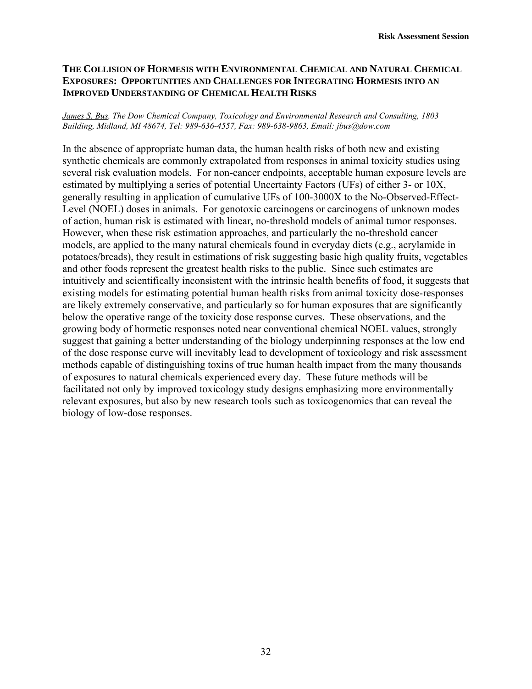# **THE COLLISION OF HORMESIS WITH ENVIRONMENTAL CHEMICAL AND NATURAL CHEMICAL EXPOSURES: OPPORTUNITIES AND CHALLENGES FOR INTEGRATING HORMESIS INTO AN IMPROVED UNDERSTANDING OF CHEMICAL HEALTH RISKS**

#### *James S. Bus, The Dow Chemical Company, Toxicology and Environmental Research and Consulting, 1803 Building, Midland, MI 48674, Tel: 989-636-4557, Fax: 989-638-9863, Email: jbus@dow.com*

In the absence of appropriate human data, the human health risks of both new and existing synthetic chemicals are commonly extrapolated from responses in animal toxicity studies using several risk evaluation models. For non-cancer endpoints, acceptable human exposure levels are estimated by multiplying a series of potential Uncertainty Factors (UFs) of either 3- or 10X, generally resulting in application of cumulative UFs of 100-3000X to the No-Observed-Effect-Level (NOEL) doses in animals. For genotoxic carcinogens or carcinogens of unknown modes of action, human risk is estimated with linear, no-threshold models of animal tumor responses. However, when these risk estimation approaches, and particularly the no-threshold cancer models, are applied to the many natural chemicals found in everyday diets (e.g., acrylamide in potatoes/breads), they result in estimations of risk suggesting basic high quality fruits, vegetables and other foods represent the greatest health risks to the public. Since such estimates are intuitively and scientifically inconsistent with the intrinsic health benefits of food, it suggests that existing models for estimating potential human health risks from animal toxicity dose-responses are likely extremely conservative, and particularly so for human exposures that are significantly below the operative range of the toxicity dose response curves. These observations, and the growing body of hormetic responses noted near conventional chemical NOEL values, strongly suggest that gaining a better understanding of the biology underpinning responses at the low end of the dose response curve will inevitably lead to development of toxicology and risk assessment methods capable of distinguishing toxins of true human health impact from the many thousands of exposures to natural chemicals experienced every day. These future methods will be facilitated not only by improved toxicology study designs emphasizing more environmentally relevant exposures, but also by new research tools such as toxicogenomics that can reveal the biology of low-dose responses.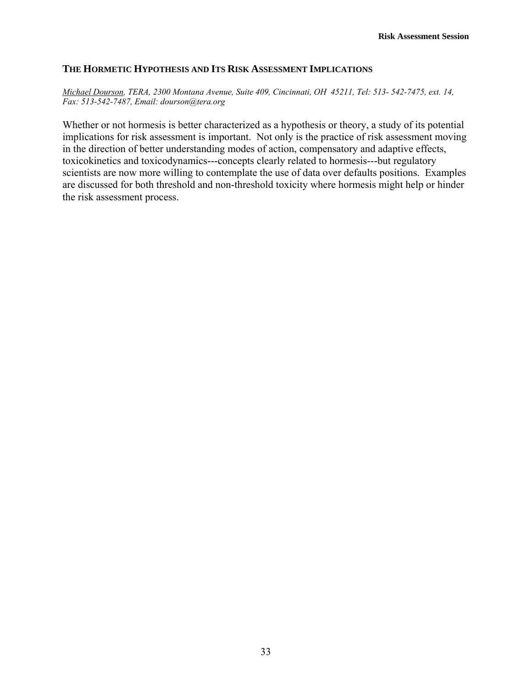# **THE HORMETIC HYPOTHESIS AND ITS RISK ASSESSMENT IMPLICATIONS**

*Michael Dourson, TERA, 2300 Montana Avenue, Suite 409, Cincinnati, OH 45211, Tel: 513- 542-7475, ext. 14, Fax: 513-542-7487, Email: dourson@tera.org* 

Whether or not hormesis is better characterized as a hypothesis or theory, a study of its potential implications for risk assessment is important. Not only is the practice of risk assessment moving in the direction of better understanding modes of action, compensatory and adaptive effects, toxicokinetics and toxicodynamics---concepts clearly related to hormesis---but regulatory scientists are now more willing to contemplate the use of data over defaults positions. Examples are discussed for both threshold and non-threshold toxicity where hormesis might help or hinder the risk assessment process.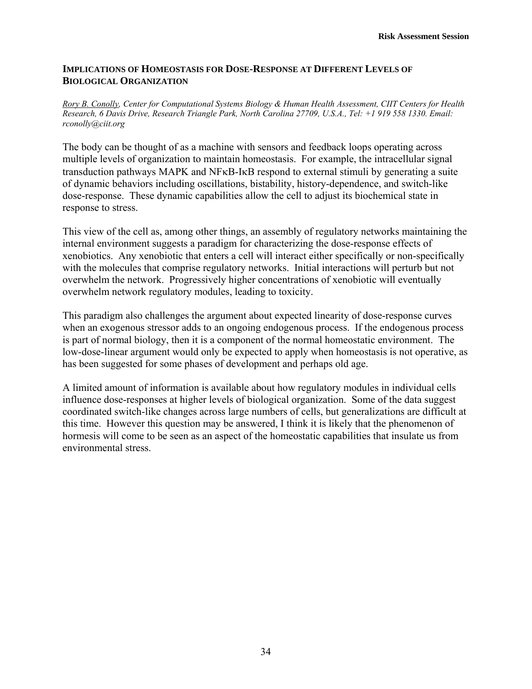# **IMPLICATIONS OF HOMEOSTASIS FOR DOSE-RESPONSE AT DIFFERENT LEVELS OF BIOLOGICAL ORGANIZATION**

*Rory B. Conolly, Center for Computational Systems Biology & Human Health Assessment, CIIT Centers for Health Research, 6 Davis Drive, Research Triangle Park, North Carolina 27709, U.S.A., Tel: +1 919 558 1330. Email: rconolly@ciit.org* 

The body can be thought of as a machine with sensors and feedback loops operating across multiple levels of organization to maintain homeostasis. For example, the intracellular signal transduction pathways MAPK and NFκB-IκB respond to external stimuli by generating a suite of dynamic behaviors including oscillations, bistability, history-dependence, and switch-like dose-response. These dynamic capabilities allow the cell to adjust its biochemical state in response to stress.

This view of the cell as, among other things, an assembly of regulatory networks maintaining the internal environment suggests a paradigm for characterizing the dose-response effects of xenobiotics. Any xenobiotic that enters a cell will interact either specifically or non-specifically with the molecules that comprise regulatory networks. Initial interactions will perturb but not overwhelm the network. Progressively higher concentrations of xenobiotic will eventually overwhelm network regulatory modules, leading to toxicity.

This paradigm also challenges the argument about expected linearity of dose-response curves when an exogenous stressor adds to an ongoing endogenous process. If the endogenous process is part of normal biology, then it is a component of the normal homeostatic environment. The low-dose-linear argument would only be expected to apply when homeostasis is not operative, as has been suggested for some phases of development and perhaps old age.

A limited amount of information is available about how regulatory modules in individual cells influence dose-responses at higher levels of biological organization. Some of the data suggest coordinated switch-like changes across large numbers of cells, but generalizations are difficult at this time. However this question may be answered, I think it is likely that the phenomenon of hormesis will come to be seen as an aspect of the homeostatic capabilities that insulate us from environmental stress.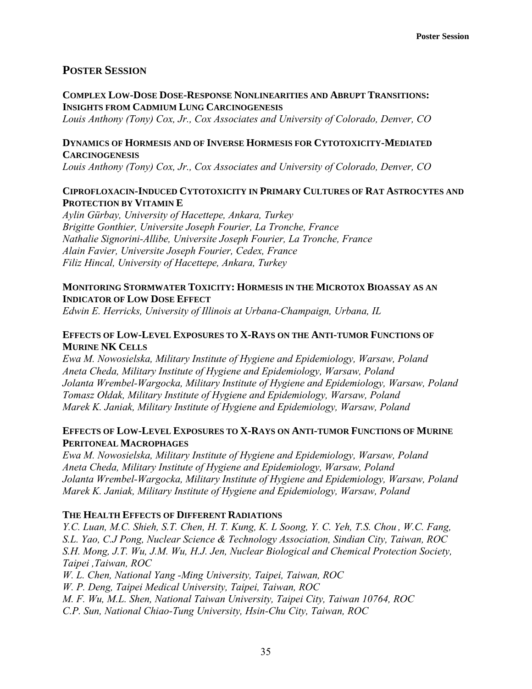# **POSTER SESSION**

# **COMPLEX LOW-DOSE DOSE-RESPONSE NONLINEARITIES AND ABRUPT TRANSITIONS: INSIGHTS FROM CADMIUM LUNG CARCINOGENESIS**

*Louis Anthony (Tony) Cox, Jr., Cox Associates and University of Colorado, Denver, CO* 

# **DYNAMICS OF HORMESIS AND OF INVERSE HORMESIS FOR CYTOTOXICITY-MEDIATED CARCINOGENESIS**

*Louis Anthony (Tony) Cox, Jr., Cox Associates and University of Colorado, Denver, CO* 

# **CIPROFLOXACIN-INDUCED CYTOTOXICITY IN PRIMARY CULTURES OF RAT ASTROCYTES AND PROTECTION BY VITAMIN E**

*Aylin Gürbay, University of Hacettepe, Ankara, Turkey Brigitte Gonthier, Universite Joseph Fourier, La Tronche, France Nathalie Signorini-Allibe, Universite Joseph Fourier, La Tronche, France Alain Favier, Universite Joseph Fourier, Cedex, France Filiz Hincal, University of Hacettepe, Ankara, Turkey* 

# **MONITORING STORMWATER TOXICITY: HORMESIS IN THE MICROTOX BIOASSAY AS AN INDICATOR OF LOW DOSE EFFECT**

*Edwin E. Herricks, University of Illinois at Urbana-Champaign, Urbana, IL* 

# **EFFECTS OF LOW-LEVEL EXPOSURES TO X-RAYS ON THE ANTI-TUMOR FUNCTIONS OF MURINE NK CELLS**

*Ewa M. Nowosielska, Military Institute of Hygiene and Epidemiology, Warsaw, Poland Aneta Cheda, Military Institute of Hygiene and Epidemiology, Warsaw, Poland Jolanta Wrembel-Wargocka, Military Institute of Hygiene and Epidemiology, Warsaw, Poland Tomasz Ołdak, Military Institute of Hygiene and Epidemiology, Warsaw, Poland Marek K. Janiak, Military Institute of Hygiene and Epidemiology, Warsaw, Poland* 

# **EFFECTS OF LOW-LEVEL EXPOSURES TO X-RAYS ON ANTI-TUMOR FUNCTIONS OF MURINE PERITONEAL MACROPHAGES**

*Ewa M. Nowosielska, Military Institute of Hygiene and Epidemiology, Warsaw, Poland Aneta Cheda, Military Institute of Hygiene and Epidemiology, Warsaw, Poland Jolanta Wrembel-Wargocka, Military Institute of Hygiene and Epidemiology, Warsaw, Poland Marek K. Janiak, Military Institute of Hygiene and Epidemiology, Warsaw, Poland* 

# **THE HEALTH EFFECTS OF DIFFERENT RADIATIONS**

*Y.C. Luan, M.C. Shieh, S.T. Chen, H. T. Kung, K. L Soong, Y. C. Yeh, T.S. Chou , W.C. Fang, S.L. Yao, C.J Pong, Nuclear Science & Technology Association, Sindian City, Taiwan, ROC S.H. Mong, J.T. Wu, J.M. Wu, H.J. Jen, Nuclear Biological and Chemical Protection Society, Taipei ,Taiwan, ROC* 

*W. L. Chen, National Yang -Ming University, Taipei, Taiwan, ROC* 

*W. P. Deng, Taipei Medical University, Taipei, Taiwan, ROC* 

*M. F. Wu, M.L. Shen, National Taiwan University, Taipei City, Taiwan 10764, ROC* 

*C.P. Sun, National Chiao-Tung University, Hsin-Chu City, Taiwan, ROC*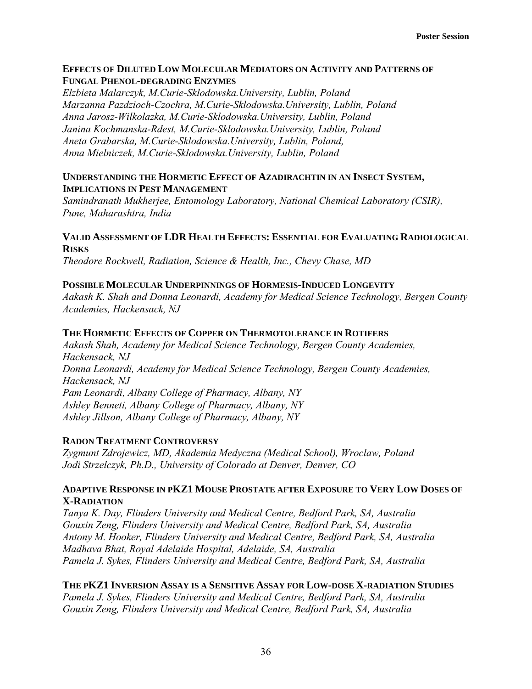# **EFFECTS OF DILUTED LOW MOLECULAR MEDIATORS ON ACTIVITY AND PATTERNS OF FUNGAL PHENOL-DEGRADING ENZYMES**

*Elzbieta Malarczyk, M.Curie-Sklodowska.University, Lublin, Poland Marzanna Pazdzioch-Czochra, M.Curie-Sklodowska.University, Lublin, Poland Anna Jarosz-Wilkolazka, M.Curie-Sklodowska.University, Lublin, Poland Janina Kochmanska-Rdest, M.Curie-Sklodowska.University, Lublin, Poland Aneta Grabarska, M.Curie-Sklodowska.University, Lublin, Poland, Anna Mielniczek, M.Curie-Sklodowska.University, Lublin, Poland* 

# **UNDERSTANDING THE HORMETIC EFFECT OF AZADIRACHTIN IN AN INSECT SYSTEM, IMPLICATIONS IN PEST MANAGEMENT**

*Samindranath Mukherjee, Entomology Laboratory, National Chemical Laboratory (CSIR), Pune, Maharashtra, India* 

# **VALID ASSESSMENT OF LDR HEALTH EFFECTS: ESSENTIAL FOR EVALUATING RADIOLOGICAL RISKS**

*Theodore Rockwell, Radiation, Science & Health, Inc., Chevy Chase, MD* 

# **POSSIBLE MOLECULAR UNDERPINNINGS OF HORMESIS-INDUCED LONGEVITY**

*Aakash K. Shah and Donna Leonardi, Academy for Medical Science Technology, Bergen County Academies, Hackensack, NJ* 

# **THE HORMETIC EFFECTS OF COPPER ON THERMOTOLERANCE IN ROTIFERS**

*Aakash Shah, Academy for Medical Science Technology, Bergen County Academies, Hackensack, NJ Donna Leonardi, Academy for Medical Science Technology, Bergen County Academies, Hackensack, NJ Pam Leonardi, Albany College of Pharmacy, Albany, NY Ashley Benneti, Albany College of Pharmacy, Albany, NY Ashley Jillson, Albany College of Pharmacy, Albany, NY* 

# **RADON TREATMENT CONTROVERSY**

*Zygmunt Zdrojewicz, MD, Akademia Medyczna (Medical School), Wroclaw, Poland Jodi Strzelczyk, Ph.D., University of Colorado at Denver, Denver, CO* 

# **ADAPTIVE RESPONSE IN PKZ1 MOUSE PROSTATE AFTER EXPOSURE TO VERY LOW DOSES OF X-RADIATION**

*Tanya K. Day, Flinders University and Medical Centre, Bedford Park, SA, Australia Gouxin Zeng, Flinders University and Medical Centre, Bedford Park, SA, Australia Antony M. Hooker, Flinders University and Medical Centre, Bedford Park, SA, Australia Madhava Bhat, Royal Adelaide Hospital, Adelaide, SA, Australia Pamela J. Sykes, Flinders University and Medical Centre, Bedford Park, SA, Australia* 

**THE PKZ1 INVERSION ASSAY IS A SENSITIVE ASSAY FOR LOW-DOSE X-RADIATION STUDIES** *Pamela J. Sykes, Flinders University and Medical Centre, Bedford Park, SA, Australia Gouxin Zeng, Flinders University and Medical Centre, Bedford Park, SA, Australia*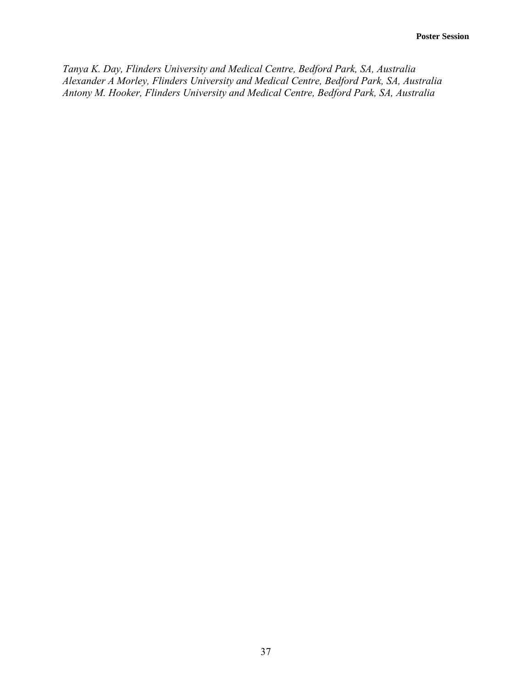*Tanya K. Day, Flinders University and Medical Centre, Bedford Park, SA, Australia Alexander A Morley, Flinders University and Medical Centre, Bedford Park, SA, Australia Antony M. Hooker, Flinders University and Medical Centre, Bedford Park, SA, Australia*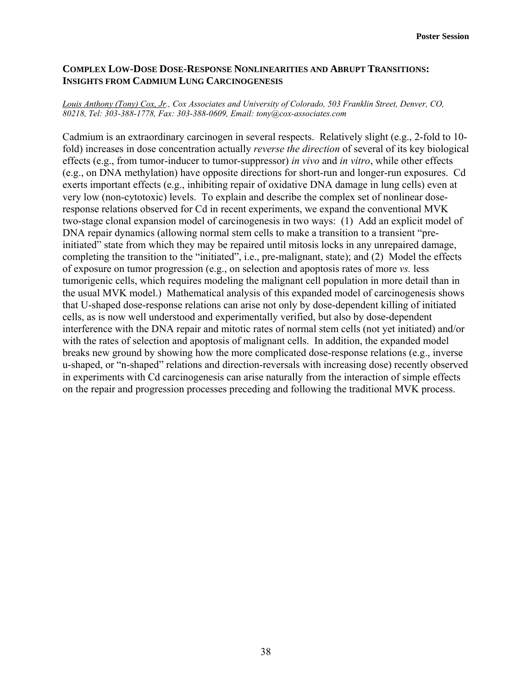# **COMPLEX LOW-DOSE DOSE-RESPONSE NONLINEARITIES AND ABRUPT TRANSITIONS: INSIGHTS FROM CADMIUM LUNG CARCINOGENESIS**

#### *Louis Anthony (Tony) Cox, Jr., Cox Associates and University of Colorado, 503 Franklin Street, Denver, CO, 80218, Tel: 303-388-1778, Fax: 303-388-0609, Email: tony@cox-associates.com*

Cadmium is an extraordinary carcinogen in several respects. Relatively slight (e.g., 2-fold to 10 fold) increases in dose concentration actually *reverse the direction* of several of its key biological effects (e.g., from tumor-inducer to tumor-suppressor) *in vivo* and *in vitro*, while other effects (e.g., on DNA methylation) have opposite directions for short-run and longer-run exposures. Cd exerts important effects (e.g., inhibiting repair of oxidative DNA damage in lung cells) even at very low (non-cytotoxic) levels. To explain and describe the complex set of nonlinear doseresponse relations observed for Cd in recent experiments, we expand the conventional MVK two-stage clonal expansion model of carcinogenesis in two ways: (1) Add an explicit model of DNA repair dynamics (allowing normal stem cells to make a transition to a transient "preinitiated" state from which they may be repaired until mitosis locks in any unrepaired damage, completing the transition to the "initiated", i.e., pre-malignant, state); and (2) Model the effects of exposure on tumor progression (e.g., on selection and apoptosis rates of more *vs.* less tumorigenic cells, which requires modeling the malignant cell population in more detail than in the usual MVK model.) Mathematical analysis of this expanded model of carcinogenesis shows that U-shaped dose-response relations can arise not only by dose-dependent killing of initiated cells, as is now well understood and experimentally verified, but also by dose-dependent interference with the DNA repair and mitotic rates of normal stem cells (not yet initiated) and/or with the rates of selection and apoptosis of malignant cells. In addition, the expanded model breaks new ground by showing how the more complicated dose-response relations (e.g., inverse u-shaped, or "n-shaped" relations and direction-reversals with increasing dose) recently observed in experiments with Cd carcinogenesis can arise naturally from the interaction of simple effects on the repair and progression processes preceding and following the traditional MVK process.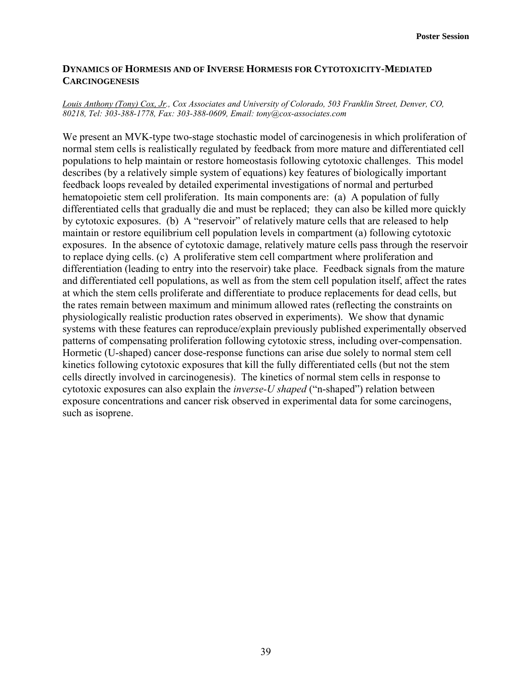# **DYNAMICS OF HORMESIS AND OF INVERSE HORMESIS FOR CYTOTOXICITY-MEDIATED CARCINOGENESIS**

#### *Louis Anthony (Tony) Cox, Jr., Cox Associates and University of Colorado, 503 Franklin Street, Denver, CO, 80218, Tel: 303-388-1778, Fax: 303-388-0609, Email: tony@cox-associates.com*

We present an MVK-type two-stage stochastic model of carcinogenesis in which proliferation of normal stem cells is realistically regulated by feedback from more mature and differentiated cell populations to help maintain or restore homeostasis following cytotoxic challenges. This model describes (by a relatively simple system of equations) key features of biologically important feedback loops revealed by detailed experimental investigations of normal and perturbed hematopoietic stem cell proliferation. Its main components are: (a) A population of fully differentiated cells that gradually die and must be replaced; they can also be killed more quickly by cytotoxic exposures. (b) A "reservoir" of relatively mature cells that are released to help maintain or restore equilibrium cell population levels in compartment (a) following cytotoxic exposures. In the absence of cytotoxic damage, relatively mature cells pass through the reservoir to replace dying cells. (c) A proliferative stem cell compartment where proliferation and differentiation (leading to entry into the reservoir) take place. Feedback signals from the mature and differentiated cell populations, as well as from the stem cell population itself, affect the rates at which the stem cells proliferate and differentiate to produce replacements for dead cells, but the rates remain between maximum and minimum allowed rates (reflecting the constraints on physiologically realistic production rates observed in experiments). We show that dynamic systems with these features can reproduce/explain previously published experimentally observed patterns of compensating proliferation following cytotoxic stress, including over-compensation. Hormetic (U-shaped) cancer dose-response functions can arise due solely to normal stem cell kinetics following cytotoxic exposures that kill the fully differentiated cells (but not the stem cells directly involved in carcinogenesis). The kinetics of normal stem cells in response to cytotoxic exposures can also explain the *inverse-U shaped* ("n-shaped") relation between exposure concentrations and cancer risk observed in experimental data for some carcinogens, such as isoprene.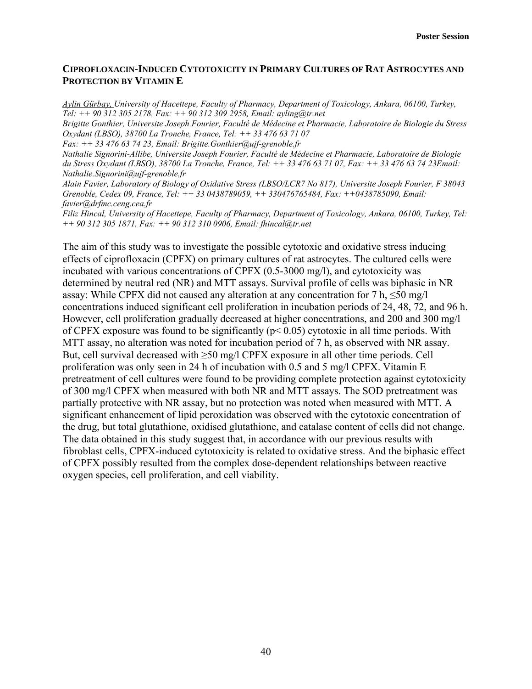# **CIPROFLOXACIN-INDUCED CYTOTOXICITY IN PRIMARY CULTURES OF RAT ASTROCYTES AND PROTECTION BY VITAMIN E**

*Aylin Gürbay, University of Hacettepe, Faculty of Pharmacy, Department of Toxicology, Ankara, 06100, Turkey, Tel: ++ 90 312 305 2178, Fax: ++ 90 312 309 2958, Email: ayling@tr.net Brigitte Gonthier, Universite Joseph Fourier, Faculté de Médecine et Pharmacie, Laboratoire de Biologie du Stress Oxydant (LBSO), 38700 La Tronche, France, Tel: ++ 33 476 63 71 07 Fax: ++ 33 476 63 74 23, Email: Brigitte.Gonthier@ujf-grenoble.fr Nathalie Signorini-Allibe, Universite Joseph Fourier, Faculté de Médecine et Pharmacie, Laboratoire de Biologie du Stress Oxydant (LBSO), 38700 La Tronche, France, Tel: ++ 33 476 63 71 07, Fax: ++ 33 476 63 74 23Email: Nathalie.Signorini@ujf-grenoble.fr Alain Favier, Laboratory of Biology of Oxidative Stress (LBSO/LCR7 No 817), Universite Joseph Fourier, F 38043 Grenoble, Cedex 09, France, Tel: ++ 33 0438789059, ++ 330476765484, Fax: ++0438785090, Email: favier@drfmc.ceng.cea.fr Filiz Hincal, University of Hacettepe, Faculty of Pharmacy, Department of Toxicology, Ankara, 06100, Turkey, Tel:* 

*++ 90 312 305 1871, Fax: ++ 90 312 310 0906, Email: fhincal@tr.net* 

The aim of this study was to investigate the possible cytotoxic and oxidative stress inducing effects of ciprofloxacin (CPFX) on primary cultures of rat astrocytes. The cultured cells were incubated with various concentrations of CPFX (0.5-3000 mg/l), and cytotoxicity was determined by neutral red (NR) and MTT assays. Survival profile of cells was biphasic in NR assay: While CPFX did not caused any alteration at any concentration for 7 h,  $\leq 50$  mg/l concentrations induced significant cell proliferation in incubation periods of 24, 48, 72, and 96 h. However, cell proliferation gradually decreased at higher concentrations, and 200 and 300 mg/l of CPFX exposure was found to be significantly ( $p < 0.05$ ) cytotoxic in all time periods. With MTT assay, no alteration was noted for incubation period of 7 h, as observed with NR assay. But, cell survival decreased with  $\geq$ 50 mg/l CPFX exposure in all other time periods. Cell proliferation was only seen in 24 h of incubation with 0.5 and 5 mg/l CPFX. Vitamin E pretreatment of cell cultures were found to be providing complete protection against cytotoxicity of 300 mg/l CPFX when measured with both NR and MTT assays. The SOD pretreatment was partially protective with NR assay, but no protection was noted when measured with MTT. A significant enhancement of lipid peroxidation was observed with the cytotoxic concentration of the drug, but total glutathione, oxidised glutathione, and catalase content of cells did not change. The data obtained in this study suggest that, in accordance with our previous results with fibroblast cells, CPFX-induced cytotoxicity is related to oxidative stress. And the biphasic effect of CPFX possibly resulted from the complex dose-dependent relationships between reactive oxygen species, cell proliferation, and cell viability.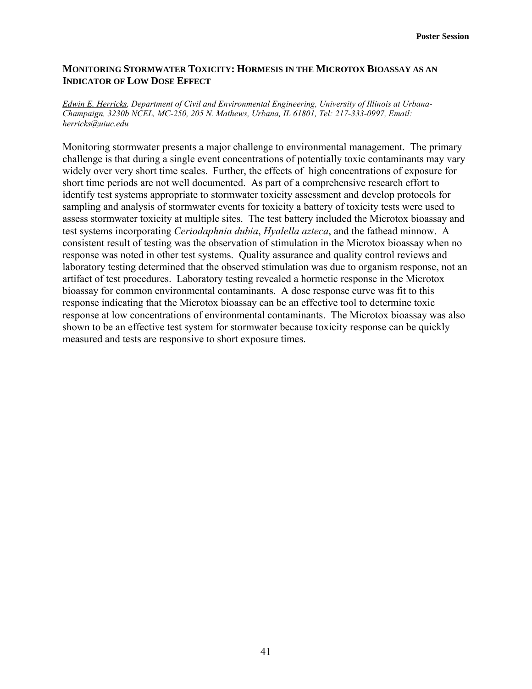## **MONITORING STORMWATER TOXICITY: HORMESIS IN THE MICROTOX BIOASSAY AS AN INDICATOR OF LOW DOSE EFFECT**

*Edwin E. Herricks, Department of Civil and Environmental Engineering, University of Illinois at Urbana-Champaign, 3230b NCEL, MC-250, 205 N. Mathews, Urbana, IL 61801, Tel: 217-333-0997, Email: herricks@uiuc.edu* 

Monitoring stormwater presents a major challenge to environmental management. The primary challenge is that during a single event concentrations of potentially toxic contaminants may vary widely over very short time scales. Further, the effects of high concentrations of exposure for short time periods are not well documented. As part of a comprehensive research effort to identify test systems appropriate to stormwater toxicity assessment and develop protocols for sampling and analysis of stormwater events for toxicity a battery of toxicity tests were used to assess stormwater toxicity at multiple sites. The test battery included the Microtox bioassay and test systems incorporating *Ceriodaphnia dubia*, *Hyalella azteca*, and the fathead minnow. A consistent result of testing was the observation of stimulation in the Microtox bioassay when no response was noted in other test systems. Quality assurance and quality control reviews and laboratory testing determined that the observed stimulation was due to organism response, not an artifact of test procedures. Laboratory testing revealed a hormetic response in the Microtox bioassay for common environmental contaminants. A dose response curve was fit to this response indicating that the Microtox bioassay can be an effective tool to determine toxic response at low concentrations of environmental contaminants. The Microtox bioassay was also shown to be an effective test system for stormwater because toxicity response can be quickly measured and tests are responsive to short exposure times.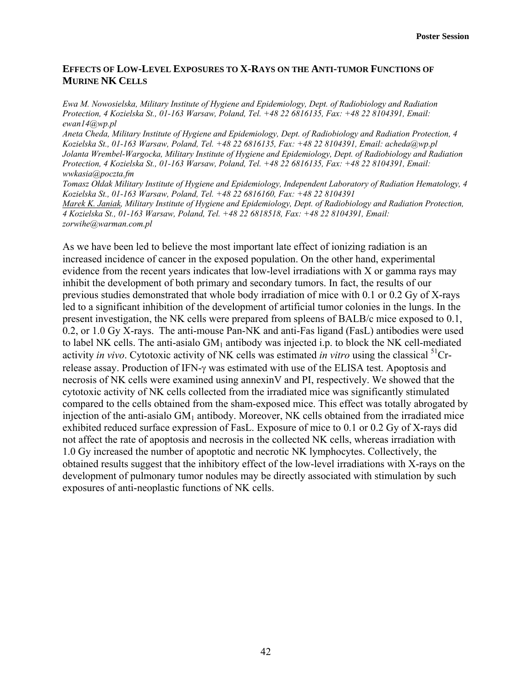# **EFFECTS OF LOW-LEVEL EXPOSURES TO X-RAYS ON THE ANTI-TUMOR FUNCTIONS OF MURINE NK CELLS**

*Ewa M. Nowosielska, Military Institute of Hygiene and Epidemiology, Dept. of Radiobiology and Radiation Protection, 4 Kozielska St., 01-163 Warsaw, Poland, Tel. +48 22 6816135, Fax: +48 22 8104391, Email: ewan14@wp.pl* 

*Aneta Cheda, Military Institute of Hygiene and Epidemiology, Dept. of Radiobiology and Radiation Protection, 4 Kozielska St., 01-163 Warsaw, Poland, Tel. +48 22 6816135, Fax: +48 22 8104391, Email: acheda@wp.pl Jolanta Wrembel-Wargocka, Military Institute of Hygiene and Epidemiology, Dept. of Radiobiology and Radiation Protection, 4 Kozielska St., 01-163 Warsaw, Poland, Tel. +48 22 6816135, Fax: +48 22 8104391, Email: wwkasia@poczta.fm* 

*Tomasz Ołdak Military Institute of Hygiene and Epidemiology, Independent Laboratory of Radiation Hematology, 4 Kozielska St., 01-163 Warsaw, Poland, Tel. +48 22 6816160, Fax: +48 22 8104391* 

*Marek K. Janiak, Military Institute of Hygiene and Epidemiology, Dept. of Radiobiology and Radiation Protection, 4 Kozielska St., 01-163 Warsaw, Poland, Tel. +48 22 6818518, Fax: +48 22 8104391, Email: zorwihe@warman.com.pl* 

As we have been led to believe the most important late effect of ionizing radiation is an increased incidence of cancer in the exposed population. On the other hand, experimental evidence from the recent years indicates that low-level irradiations with X or gamma rays may inhibit the development of both primary and secondary tumors. In fact, the results of our previous studies demonstrated that whole body irradiation of mice with 0.1 or 0.2 Gy of X-rays led to a significant inhibition of the development of artificial tumor colonies in the lungs. In the present investigation, the NK cells were prepared from spleens of BALB/c mice exposed to 0.1, 0.2, or 1.0 Gy X-rays. The anti-mouse Pan-NK and anti-Fas ligand (FasL) antibodies were used to label NK cells. The anti-asialo  $GM<sub>1</sub>$  antibody was injected i.p. to block the NK cell-mediated activity *in vivo*. Cytotoxic activity of NK cells was estimated *in vitro* using the classical 51Crrelease assay. Production of IFN-γ was estimated with use of the ELISA test. Apoptosis and necrosis of NK cells were examined using annexinV and PI, respectively. We showed that the cytotoxic activity of NK cells collected from the irradiated mice was significantly stimulated compared to the cells obtained from the sham-exposed mice. This effect was totally abrogated by injection of the anti-asialo  $GM<sub>1</sub>$  antibody. Moreover, NK cells obtained from the irradiated mice exhibited reduced surface expression of FasL. Exposure of mice to 0.1 or 0.2 Gy of X-rays did not affect the rate of apoptosis and necrosis in the collected NK cells, whereas irradiation with 1.0 Gy increased the number of apoptotic and necrotic NK lymphocytes. Collectively, the obtained results suggest that the inhibitory effect of the low-level irradiations with X-rays on the development of pulmonary tumor nodules may be directly associated with stimulation by such exposures of anti-neoplastic functions of NK cells.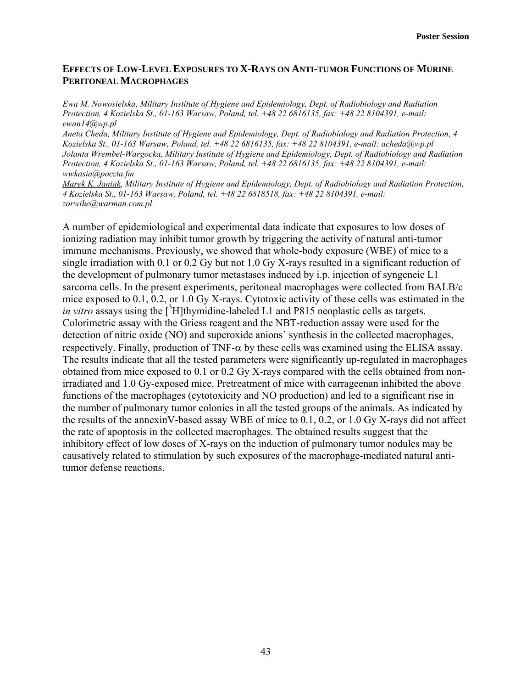# **EFFECTS OF LOW-LEVEL EXPOSURES TO X-RAYS ON ANTI-TUMOR FUNCTIONS OF MURINE PERITONEAL MACROPHAGES**

*Ewa M. Nowosielska, Military Institute of Hygiene and Epidemiology, Dept. of Radiobiology and Radiation Protection, 4 Kozielska St., 01-163 Warsaw, Poland, tel. +48 22 6816135, fax: +48 22 8104391, e-mail: ewan14@wp.pl* 

*Aneta Cheda, Military Institute of Hygiene and Epidemiology, Dept. of Radiobiology and Radiation Protection, 4 Kozielska St., 01-163 Warsaw, Poland, tel. +48 22 6816135, fax: +48 22 8104391, e-mail: acheda@wp.pl Jolanta Wrembel-Wargocka, Military Institute of Hygiene and Epidemiology, Dept. of Radiobiology and Radiation Protection, 4 Kozielska St., 01-163 Warsaw, Poland, tel. +48 22 6816135, fax: +48 22 8104391, e-mail: wwkasia@poczta.fm* 

*Marek K. Janiak, Military Institute of Hygiene and Epidemiology, Dept. of Radiobiology and Radiation Protection, 4 Kozielska St., 01-163 Warsaw, Poland, tel. +48 22 6818518, fax: +48 22 8104391, e-mail: zorwihe@warman.com.pl* 

A number of epidemiological and experimental data indicate that exposures to low doses of ionizing radiation may inhibit tumor growth by triggering the activity of natural anti-tumor immune mechanisms. Previously, we showed that whole-body exposure (WBE) of mice to a single irradiation with 0.1 or 0.2 Gy but not 1.0 Gy X-rays resulted in a significant reduction of the development of pulmonary tumor metastases induced by i.p. injection of syngeneic L1 sarcoma cells. In the present experiments, peritoneal macrophages were collected from BALB/c mice exposed to 0.1, 0.2, or 1.0 Gy X-rays. Cytotoxic activity of these cells was estimated in the *in vitro* assays using the  $\int^3 H$ ]thymidine-labeled L1 and P815 neoplastic cells as targets. Colorimetric assay with the Griess reagent and the NBT-reduction assay were used for the detection of nitric oxide (NO) and superoxide anions' synthesis in the collected macrophages, respectively. Finally, production of TNF- $\alpha$  by these cells was examined using the ELISA assay. The results indicate that all the tested parameters were significantly up-regulated in macrophages obtained from mice exposed to 0.1 or 0.2 Gy X-rays compared with the cells obtained from nonirradiated and 1.0 Gy-exposed mice. Pretreatment of mice with carrageenan inhibited the above functions of the macrophages (cytotoxicity and NO production) and led to a significant rise in the number of pulmonary tumor colonies in all the tested groups of the animals. As indicated by the results of the annexinV-based assay WBE of mice to 0.1, 0.2, or 1.0 Gy X-rays did not affect the rate of apoptosis in the collected macrophages. The obtained results suggest that the inhibitory effect of low doses of X-rays on the induction of pulmonary tumor nodules may be causatively related to stimulation by such exposures of the macrophage-mediated natural antitumor defense reactions.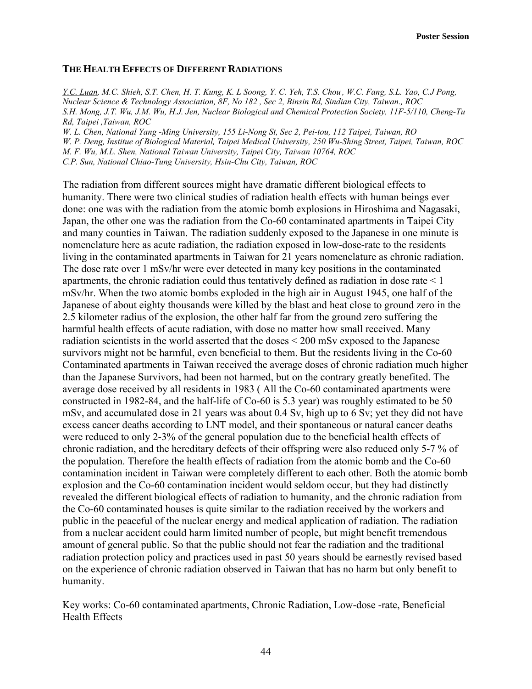# **THE HEALTH EFFECTS OF DIFFERENT RADIATIONS**

*Y.C. Luan, M.C. Shieh, S.T. Chen, H. T. Kung, K. L Soong, Y. C. Yeh, T.S. Chou , W.C. Fang, S.L. Yao, C.J Pong, Nuclear Science & Technology Association, 8F, No 182 , Sec 2, Binsin Rd, Sindian City, Taiwan., ROC S.H. Mong, J.T. Wu, J.M. Wu, H.J. Jen, Nuclear Biological and Chemical Protection Society, 11F-5/110, Cheng-Tu Rd, Taipei ,Taiwan, ROC* 

*W. L. Chen, National Yang -Ming University, 155 Li-Nong St, Sec 2, Pei-tou, 112 Taipei, Taiwan, RO W. P. Deng, Institue of Biological Material, Taipei Medical University, 250 Wu-Shing Street, Taipei, Taiwan, ROC M. F. Wu, M.L. Shen, National Taiwan University, Taipei City, Taiwan 10764, ROC C.P. Sun, National Chiao-Tung University, Hsin-Chu City, Taiwan, ROC* 

The radiation from different sources might have dramatic different biological effects to humanity. There were two clinical studies of radiation health effects with human beings ever done: one was with the radiation from the atomic bomb explosions in Hiroshima and Nagasaki, Japan, the other one was the radiation from the Co-60 contaminated apartments in Taipei City and many counties in Taiwan. The radiation suddenly exposed to the Japanese in one minute is nomenclature here as acute radiation, the radiation exposed in low-dose-rate to the residents living in the contaminated apartments in Taiwan for 21 years nomenclature as chronic radiation. The dose rate over 1 mSv/hr were ever detected in many key positions in the contaminated apartments, the chronic radiation could thus tentatively defined as radiation in dose rate  $\leq 1$ mSv/hr. When the two atomic bombs exploded in the high air in August 1945, one half of the Japanese of about eighty thousands were killed by the blast and heat close to ground zero in the 2.5 kilometer radius of the explosion, the other half far from the ground zero suffering the harmful health effects of acute radiation, with dose no matter how small received. Many radiation scientists in the world asserted that the doses < 200 mSv exposed to the Japanese survivors might not be harmful, even beneficial to them. But the residents living in the Co-60 Contaminated apartments in Taiwan received the average doses of chronic radiation much higher than the Japanese Survivors, had been not harmed, but on the contrary greatly benefited. The average dose received by all residents in 1983 ( All the Co-60 contaminated apartments were constructed in 1982-84, and the half-life of Co-60 is 5.3 year) was roughly estimated to be 50 mSv, and accumulated dose in 21 years was about 0.4 Sv, high up to 6 Sv; yet they did not have excess cancer deaths according to LNT model, and their spontaneous or natural cancer deaths were reduced to only 2-3% of the general population due to the beneficial health effects of chronic radiation, and the hereditary defects of their offspring were also reduced only 5-7 % of the population. Therefore the health effects of radiation from the atomic bomb and the Co-60 contamination incident in Taiwan were completely different to each other. Both the atomic bomb explosion and the Co-60 contamination incident would seldom occur, but they had distinctly revealed the different biological effects of radiation to humanity, and the chronic radiation from the Co-60 contaminated houses is quite similar to the radiation received by the workers and public in the peaceful of the nuclear energy and medical application of radiation. The radiation from a nuclear accident could harm limited number of people, but might benefit tremendous amount of general public. So that the public should not fear the radiation and the traditional radiation protection policy and practices used in past 50 years should be earnestly revised based on the experience of chronic radiation observed in Taiwan that has no harm but only benefit to humanity.

Key works: Co-60 contaminated apartments, Chronic Radiation, Low-dose -rate, Beneficial Health Effects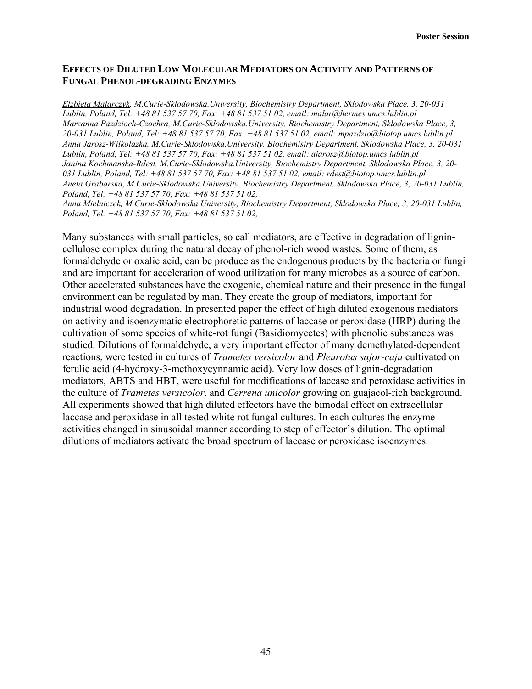# **EFFECTS OF DILUTED LOW MOLECULAR MEDIATORS ON ACTIVITY AND PATTERNS OF FUNGAL PHENOL-DEGRADING ENZYMES**

*Elzbieta Malarczyk, M.Curie-Sklodowska.University, Biochemistry Department, Sklodowska Place, 3, 20-031 Lublin, Poland, Tel: +48 81 537 57 70, Fax: +48 81 537 51 02, email: malar@hermes.umcs.lublin.pl Marzanna Pazdzioch-Czochra, M.Curie-Sklodowska.University, Biochemistry Department, Sklodowska Place, 3, 20-031 Lublin, Poland, Tel: +48 81 537 57 70, Fax: +48 81 537 51 02, email: mpazdzio@biotop.umcs.lublin.pl Anna Jarosz-Wilkolazka, M.Curie-Sklodowska.University, Biochemistry Department, Sklodowska Place, 3, 20-031 Lublin, Poland, Tel: +48 81 537 57 70, Fax: +48 81 537 51 02, email: ajarosz@biotop.umcs.lublin.pl Janina Kochmanska-Rdest, M.Curie-Sklodowska.University, Biochemistry Department, Sklodowska Place, 3, 20- 031 Lublin, Poland, Tel: +48 81 537 57 70, Fax: +48 81 537 51 02, email: rdest@biotop.umcs.lublin.pl Aneta Grabarska, M.Curie-Sklodowska.University, Biochemistry Department, Sklodowska Place, 3, 20-031 Lublin, Poland, Tel: +48 81 537 57 70, Fax: +48 81 537 51 02,* 

*Anna Mielniczek, M.Curie-Sklodowska.University, Biochemistry Department, Sklodowska Place, 3, 20-031 Lublin, Poland, Tel: +48 81 537 57 70, Fax: +48 81 537 51 02,* 

Many substances with small particles, so call mediators, are effective in degradation of lignincellulose complex during the natural decay of phenol-rich wood wastes. Some of them, as formaldehyde or oxalic acid, can be produce as the endogenous products by the bacteria or fungi and are important for acceleration of wood utilization for many microbes as a source of carbon. Other accelerated substances have the exogenic, chemical nature and their presence in the fungal environment can be regulated by man. They create the group of mediators, important for industrial wood degradation. In presented paper the effect of high diluted exogenous mediators on activity and isoenzymatic electrophoretic patterns of laccase or peroxidase (HRP) during the cultivation of some species of white-rot fungi (Basidiomycetes) with phenolic substances was studied. Dilutions of formaldehyde, a very important effector of many demethylated-dependent reactions, were tested in cultures of *Trametes versicolor* and *Pleurotus sajor-caju* cultivated on ferulic acid (4-hydroxy-3-methoxycynnamic acid). Very low doses of lignin-degradation mediators, ABTS and HBT, were useful for modifications of laccase and peroxidase activities in the culture of *Trametes versicolor*. and *Cerrena unicolor* growing on guajacol-rich background. All experiments showed that high diluted effectors have the bimodal effect on extracellular laccase and peroxidase in all tested white rot fungal cultures. In each cultures the enzyme activities changed in sinusoidal manner according to step of effector's dilution. The optimal dilutions of mediators activate the broad spectrum of laccase or peroxidase isoenzymes.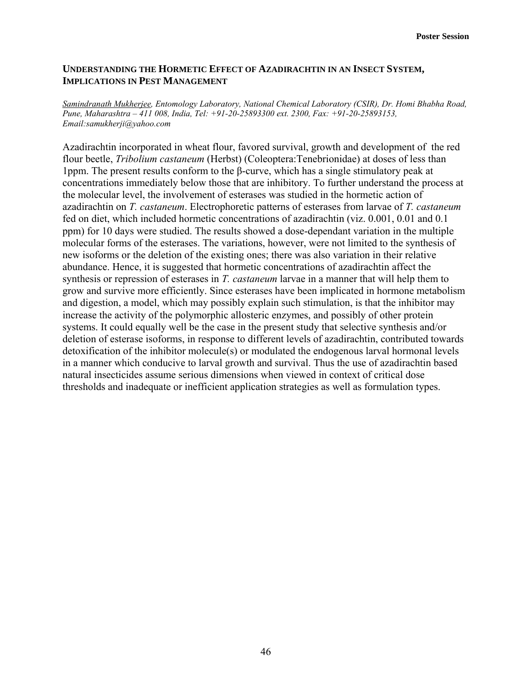# **UNDERSTANDING THE HORMETIC EFFECT OF AZADIRACHTIN IN AN INSECT SYSTEM, IMPLICATIONS IN PEST MANAGEMENT**

*Samindranath Mukherjee, Entomology Laboratory, National Chemical Laboratory (CSIR), Dr. Homi Bhabha Road, Pune, Maharashtra – 411 008, India, Tel: +91-20-25893300 ext. 2300, Fax: +91-20-25893153, Email:samukherji@yahoo.com* 

Azadirachtin incorporated in wheat flour, favored survival, growth and development of the red flour beetle, *Tribolium castaneum* (Herbst) (Coleoptera:Tenebrionidae) at doses of less than 1ppm. The present results conform to the β-curve, which has a single stimulatory peak at concentrations immediately below those that are inhibitory. To further understand the process at the molecular level, the involvement of esterases was studied in the hormetic action of azadirachtin on *T. castaneum*. Electrophoretic patterns of esterases from larvae of *T. castaneum* fed on diet, which included hormetic concentrations of azadirachtin (viz. 0.001, 0.01 and 0.1 ppm) for 10 days were studied. The results showed a dose-dependant variation in the multiple molecular forms of the esterases. The variations, however, were not limited to the synthesis of new isoforms or the deletion of the existing ones; there was also variation in their relative abundance. Hence, it is suggested that hormetic concentrations of azadirachtin affect the synthesis or repression of esterases in *T. castaneum* larvae in a manner that will help them to grow and survive more efficiently. Since esterases have been implicated in hormone metabolism and digestion, a model, which may possibly explain such stimulation, is that the inhibitor may increase the activity of the polymorphic allosteric enzymes, and possibly of other protein systems. It could equally well be the case in the present study that selective synthesis and/or deletion of esterase isoforms, in response to different levels of azadirachtin, contributed towards detoxification of the inhibitor molecule(s) or modulated the endogenous larval hormonal levels in a manner which conducive to larval growth and survival. Thus the use of azadirachtin based natural insecticides assume serious dimensions when viewed in context of critical dose thresholds and inadequate or inefficient application strategies as well as formulation types.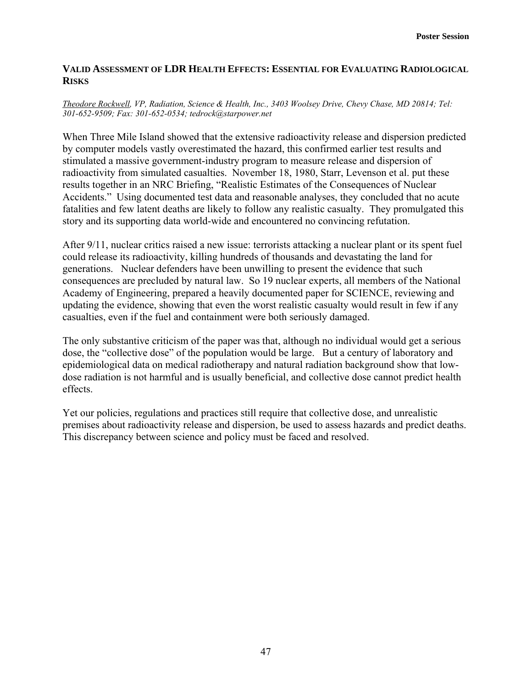# **VALID ASSESSMENT OF LDR HEALTH EFFECTS: ESSENTIAL FOR EVALUATING RADIOLOGICAL RISKS**

#### *Theodore Rockwell, VP, Radiation, Science & Health, Inc., 3403 Woolsey Drive, Chevy Chase, MD 20814; Tel: 301-652-9509; Fax: 301-652-0534; tedrock@starpower.net*

When Three Mile Island showed that the extensive radioactivity release and dispersion predicted by computer models vastly overestimated the hazard, this confirmed earlier test results and stimulated a massive government-industry program to measure release and dispersion of radioactivity from simulated casualties. November 18, 1980, Starr, Levenson et al. put these results together in an NRC Briefing, "Realistic Estimates of the Consequences of Nuclear Accidents." Using documented test data and reasonable analyses, they concluded that no acute fatalities and few latent deaths are likely to follow any realistic casualty. They promulgated this story and its supporting data world-wide and encountered no convincing refutation.

After 9/11, nuclear critics raised a new issue: terrorists attacking a nuclear plant or its spent fuel could release its radioactivity, killing hundreds of thousands and devastating the land for generations. Nuclear defenders have been unwilling to present the evidence that such consequences are precluded by natural law. So 19 nuclear experts, all members of the National Academy of Engineering, prepared a heavily documented paper for SCIENCE, reviewing and updating the evidence, showing that even the worst realistic casualty would result in few if any casualties, even if the fuel and containment were both seriously damaged.

The only substantive criticism of the paper was that, although no individual would get a serious dose, the "collective dose" of the population would be large. But a century of laboratory and epidemiological data on medical radiotherapy and natural radiation background show that lowdose radiation is not harmful and is usually beneficial, and collective dose cannot predict health effects.

Yet our policies, regulations and practices still require that collective dose, and unrealistic premises about radioactivity release and dispersion, be used to assess hazards and predict deaths. This discrepancy between science and policy must be faced and resolved.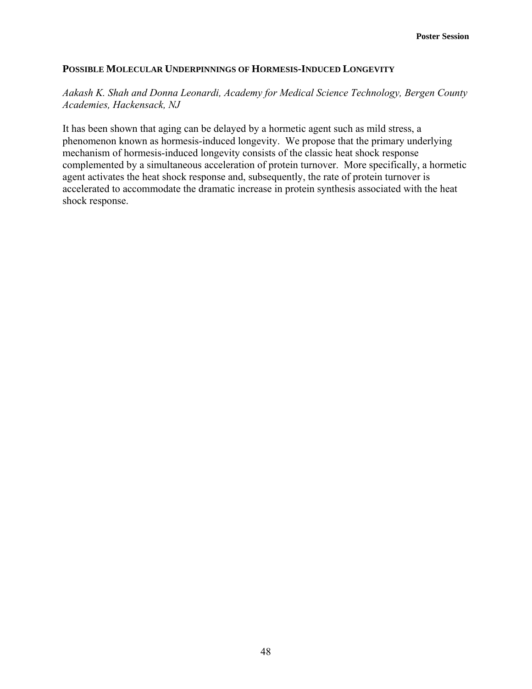# **POSSIBLE MOLECULAR UNDERPINNINGS OF HORMESIS-INDUCED LONGEVITY**

# *Aakash K. Shah and Donna Leonardi, Academy for Medical Science Technology, Bergen County Academies, Hackensack, NJ*

It has been shown that aging can be delayed by a hormetic agent such as mild stress, a phenomenon known as hormesis-induced longevity. We propose that the primary underlying mechanism of hormesis-induced longevity consists of the classic heat shock response complemented by a simultaneous acceleration of protein turnover. More specifically, a hormetic agent activates the heat shock response and, subsequently, the rate of protein turnover is accelerated to accommodate the dramatic increase in protein synthesis associated with the heat shock response.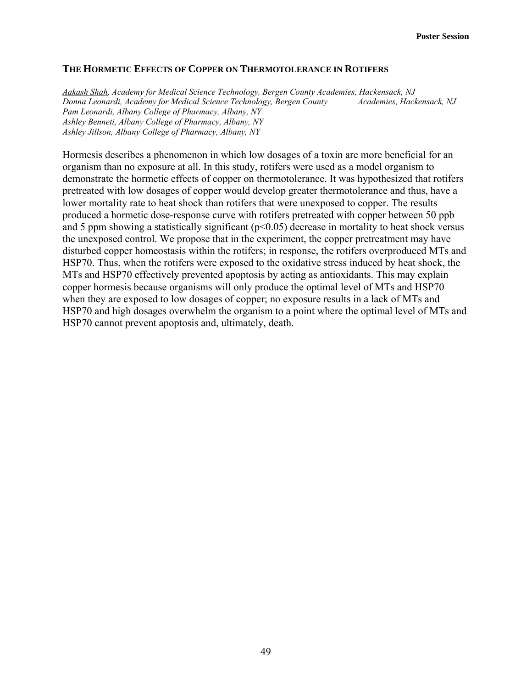#### **THE HORMETIC EFFECTS OF COPPER ON THERMOTOLERANCE IN ROTIFERS**

*Aakash Shah, Academy for Medical Science Technology, Bergen County Academies, Hackensack, NJ Donna Leonardi, Academy for Medical Science Technology, Bergen County Academies, Hackensack, NJ Pam Leonardi, Albany College of Pharmacy, Albany, NY Ashley Benneti, Albany College of Pharmacy, Albany, NY Ashley Jillson, Albany College of Pharmacy, Albany, NY* 

Hormesis describes a phenomenon in which low dosages of a toxin are more beneficial for an organism than no exposure at all. In this study, rotifers were used as a model organism to demonstrate the hormetic effects of copper on thermotolerance. It was hypothesized that rotifers pretreated with low dosages of copper would develop greater thermotolerance and thus, have a lower mortality rate to heat shock than rotifers that were unexposed to copper. The results produced a hormetic dose-response curve with rotifers pretreated with copper between 50 ppb and 5 ppm showing a statistically significant  $(p<0.05)$  decrease in mortality to heat shock versus the unexposed control. We propose that in the experiment, the copper pretreatment may have disturbed copper homeostasis within the rotifers; in response, the rotifers overproduced MTs and HSP70. Thus, when the rotifers were exposed to the oxidative stress induced by heat shock, the MTs and HSP70 effectively prevented apoptosis by acting as antioxidants. This may explain copper hormesis because organisms will only produce the optimal level of MTs and HSP70 when they are exposed to low dosages of copper; no exposure results in a lack of MTs and HSP70 and high dosages overwhelm the organism to a point where the optimal level of MTs and HSP70 cannot prevent apoptosis and, ultimately, death.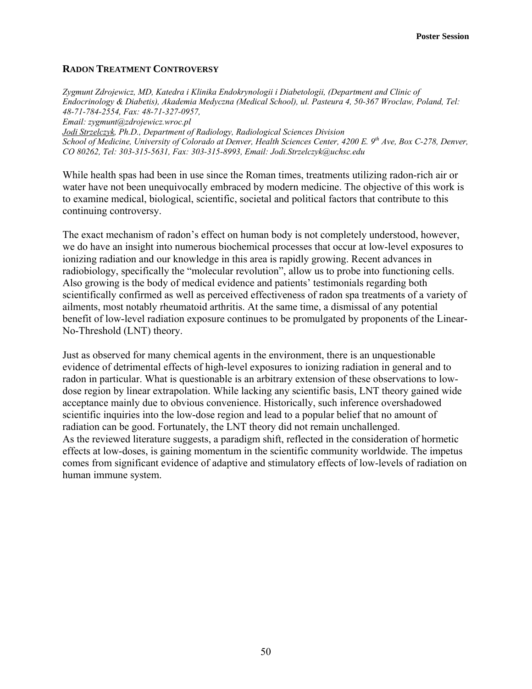## **RADON TREATMENT CONTROVERSY**

*Zygmunt Zdrojewicz, MD, Katedra i Klinika Endokrynologii i Diabetologii, (Department and Clinic of Endocrinology & Diabetis), Akademia Medyczna (Medical School), ul. Pasteura 4, 50-367 Wroclaw, Poland, Tel: 48-71-784-2554, Fax: 48-71-327-0957, Email: zygmunt@zdrojewicz.wroc.pl Jodi Strzelczyk, Ph.D., Department of Radiology, Radiological Sciences Division School of Medicine, University of Colorado at Denver, Health Sciences Center, 4200 E. 9<sup>th</sup> Ave, Box C-278, Denver, CO 80262, Tel: 303-315-5631, Fax: 303-315-8993, Email: Jodi.Strzelczyk@uchsc.edu* 

While health spas had been in use since the Roman times, treatments utilizing radon-rich air or water have not been unequivocally embraced by modern medicine. The objective of this work is to examine medical, biological, scientific, societal and political factors that contribute to this continuing controversy.

The exact mechanism of radon's effect on human body is not completely understood, however, we do have an insight into numerous biochemical processes that occur at low-level exposures to ionizing radiation and our knowledge in this area is rapidly growing. Recent advances in radiobiology, specifically the "molecular revolution", allow us to probe into functioning cells. Also growing is the body of medical evidence and patients' testimonials regarding both scientifically confirmed as well as perceived effectiveness of radon spa treatments of a variety of ailments, most notably rheumatoid arthritis. At the same time, a dismissal of any potential benefit of low-level radiation exposure continues to be promulgated by proponents of the Linear-No-Threshold (LNT) theory.

Just as observed for many chemical agents in the environment, there is an unquestionable evidence of detrimental effects of high-level exposures to ionizing radiation in general and to radon in particular. What is questionable is an arbitrary extension of these observations to lowdose region by linear extrapolation. While lacking any scientific basis, LNT theory gained wide acceptance mainly due to obvious convenience. Historically, such inference overshadowed scientific inquiries into the low-dose region and lead to a popular belief that no amount of radiation can be good. Fortunately, the LNT theory did not remain unchallenged. As the reviewed literature suggests, a paradigm shift, reflected in the consideration of hormetic effects at low-doses, is gaining momentum in the scientific community worldwide. The impetus comes from significant evidence of adaptive and stimulatory effects of low-levels of radiation on human immune system.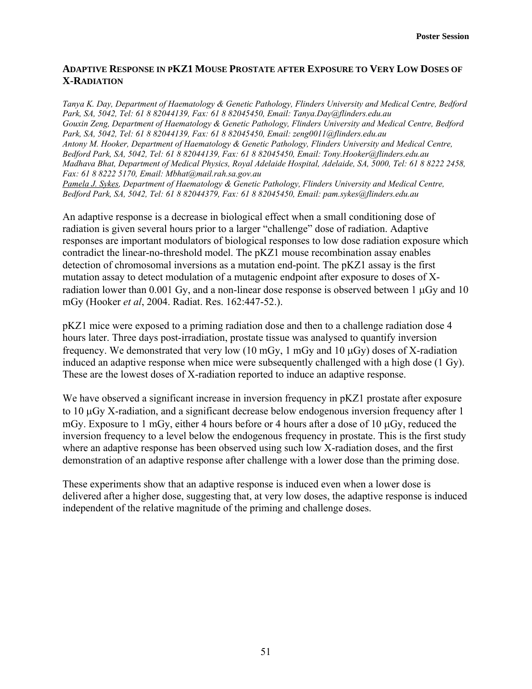# **ADAPTIVE RESPONSE IN PKZ1 MOUSE PROSTATE AFTER EXPOSURE TO VERY LOW DOSES OF X-RADIATION**

*Tanya K. Day, Department of Haematology & Genetic Pathology, Flinders University and Medical Centre, Bedford Park, SA, 5042, Tel: 61 8 82044139, Fax: 61 8 82045450, Email: Tanya.Day@flinders.edu.au Gouxin Zeng, Department of Haematology & Genetic Pathology, Flinders University and Medical Centre, Bedford Park, SA, 5042, Tel: 61 8 82044139, Fax: 61 8 82045450, Email: zeng0011@flinders.edu.au Antony M. Hooker, Department of Haematology & Genetic Pathology, Flinders University and Medical Centre, Bedford Park, SA, 5042, Tel: 61 8 82044139, Fax: 61 8 82045450, Email: Tony.Hooker@flinders.edu.au Madhava Bhat, Department of Medical Physics, Royal Adelaide Hospital, Adelaide, SA, 5000, Tel: 61 8 8222 2458, Fax: 61 8 8222 5170, Email: Mbhat@mail.rah.sa.gov.au Pamela J. Sykes, Department of Haematology & Genetic Pathology, Flinders University and Medical Centre, Bedford Park, SA, 5042, Tel: 61 8 82044379, Fax: 61 8 82045450, Email: pam.sykes@flinders.edu.au* 

An adaptive response is a decrease in biological effect when a small conditioning dose of radiation is given several hours prior to a larger "challenge" dose of radiation. Adaptive responses are important modulators of biological responses to low dose radiation exposure which contradict the linear-no-threshold model. The pKZ1 mouse recombination assay enables detection of chromosomal inversions as a mutation end-point. The pKZ1 assay is the first mutation assay to detect modulation of a mutagenic endpoint after exposure to doses of Xradiation lower than 0.001 Gy, and a non-linear dose response is observed between 1  $\mu$ Gy and 10 mGy (Hooker *et al*, 2004. Radiat. Res. 162:447-52.).

pKZ1 mice were exposed to a priming radiation dose and then to a challenge radiation dose 4 hours later. Three days post-irradiation, prostate tissue was analysed to quantify inversion frequency. We demonstrated that very low (10 mGy, 1 mGy and 10 µGy) doses of X-radiation induced an adaptive response when mice were subsequently challenged with a high dose (1 Gy). These are the lowest doses of X-radiation reported to induce an adaptive response.

We have observed a significant increase in inversion frequency in  $pKZ1$  prostate after exposure to 10 µGy X-radiation, and a significant decrease below endogenous inversion frequency after 1 mGy. Exposure to 1 mGy, either 4 hours before or 4 hours after a dose of 10 µGy, reduced the inversion frequency to a level below the endogenous frequency in prostate. This is the first study where an adaptive response has been observed using such low X-radiation doses, and the first demonstration of an adaptive response after challenge with a lower dose than the priming dose.

These experiments show that an adaptive response is induced even when a lower dose is delivered after a higher dose, suggesting that, at very low doses, the adaptive response is induced independent of the relative magnitude of the priming and challenge doses.